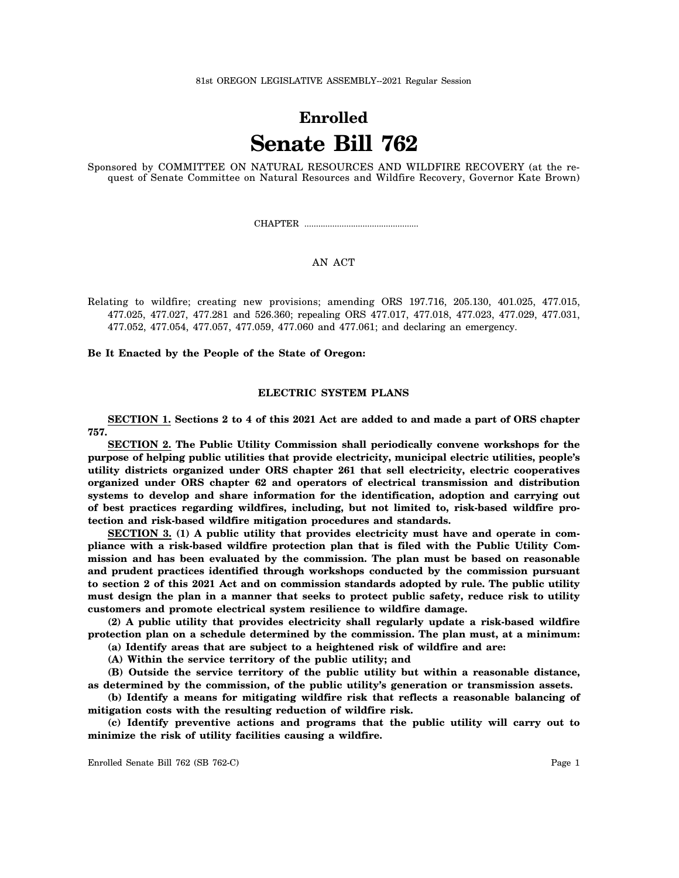# **Enrolled Senate Bill 762**

Sponsored by COMMITTEE ON NATURAL RESOURCES AND WILDFIRE RECOVERY (at the request of Senate Committee on Natural Resources and Wildfire Recovery, Governor Kate Brown)

CHAPTER .................................................

# AN ACT

Relating to wildfire; creating new provisions; amending ORS 197.716, 205.130, 401.025, 477.015, 477.025, 477.027, 477.281 and 526.360; repealing ORS 477.017, 477.018, 477.023, 477.029, 477.031, 477.052, 477.054, 477.057, 477.059, 477.060 and 477.061; and declaring an emergency.

**Be It Enacted by the People of the State of Oregon:**

#### **ELECTRIC SYSTEM PLANS**

**SECTION 1. Sections 2 to 4 of this 2021 Act are added to and made a part of ORS chapter 757.**

**SECTION 2. The Public Utility Commission shall periodically convene workshops for the purpose of helping public utilities that provide electricity, municipal electric utilities, people's utility districts organized under ORS chapter 261 that sell electricity, electric cooperatives organized under ORS chapter 62 and operators of electrical transmission and distribution systems to develop and share information for the identification, adoption and carrying out of best practices regarding wildfires, including, but not limited to, risk-based wildfire protection and risk-based wildfire mitigation procedures and standards.**

**SECTION 3. (1) A public utility that provides electricity must have and operate in compliance with a risk-based wildfire protection plan that is filed with the Public Utility Commission and has been evaluated by the commission. The plan must be based on reasonable and prudent practices identified through workshops conducted by the commission pursuant to section 2 of this 2021 Act and on commission standards adopted by rule. The public utility must design the plan in a manner that seeks to protect public safety, reduce risk to utility customers and promote electrical system resilience to wildfire damage.**

**(2) A public utility that provides electricity shall regularly update a risk-based wildfire protection plan on a schedule determined by the commission. The plan must, at a minimum:**

**(a) Identify areas that are subject to a heightened risk of wildfire and are:**

**(A) Within the service territory of the public utility; and**

**(B) Outside the service territory of the public utility but within a reasonable distance, as determined by the commission, of the public utility's generation or transmission assets.**

**(b) Identify a means for mitigating wildfire risk that reflects a reasonable balancing of mitigation costs with the resulting reduction of wildfire risk.**

**(c) Identify preventive actions and programs that the public utility will carry out to minimize the risk of utility facilities causing a wildfire.**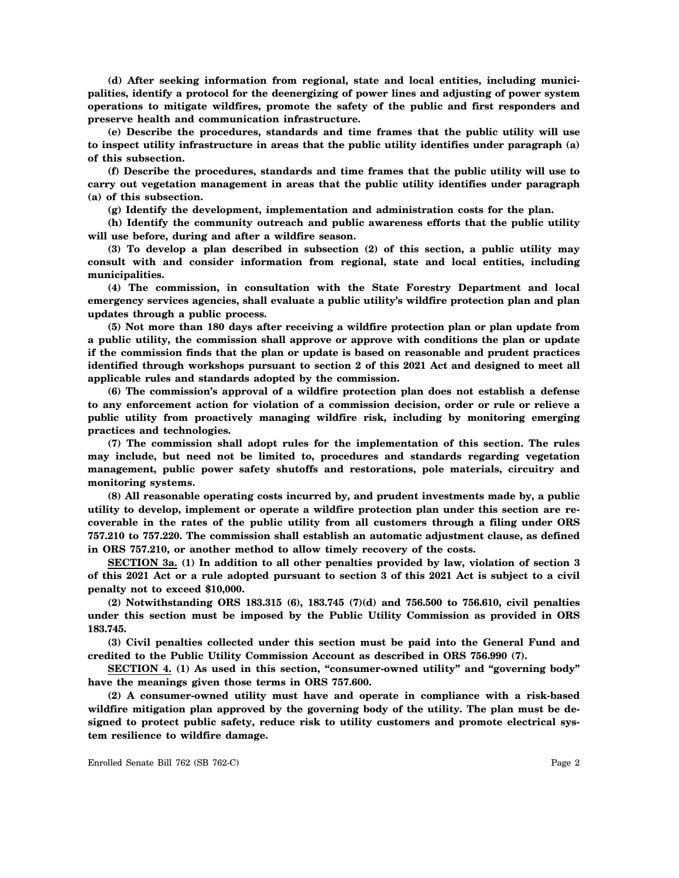**(d) After seeking information from regional, state and local entities, including municipalities, identify a protocol for the deenergizing of power lines and adjusting of power system operations to mitigate wildfires, promote the safety of the public and first responders and preserve health and communication infrastructure.**

**(e) Describe the procedures, standards and time frames that the public utility will use to inspect utility infrastructure in areas that the public utility identifies under paragraph (a) of this subsection.**

**(f) Describe the procedures, standards and time frames that the public utility will use to carry out vegetation management in areas that the public utility identifies under paragraph (a) of this subsection.**

**(g) Identify the development, implementation and administration costs for the plan.**

**(h) Identify the community outreach and public awareness efforts that the public utility will use before, during and after a wildfire season.**

**(3) To develop a plan described in subsection (2) of this section, a public utility may consult with and consider information from regional, state and local entities, including municipalities.**

**(4) The commission, in consultation with the State Forestry Department and local emergency services agencies, shall evaluate a public utility's wildfire protection plan and plan updates through a public process.**

**(5) Not more than 180 days after receiving a wildfire protection plan or plan update from a public utility, the commission shall approve or approve with conditions the plan or update if the commission finds that the plan or update is based on reasonable and prudent practices identified through workshops pursuant to section 2 of this 2021 Act and designed to meet all applicable rules and standards adopted by the commission.**

**(6) The commission's approval of a wildfire protection plan does not establish a defense to any enforcement action for violation of a commission decision, order or rule or relieve a public utility from proactively managing wildfire risk, including by monitoring emerging practices and technologies.**

**(7) The commission shall adopt rules for the implementation of this section. The rules may include, but need not be limited to, procedures and standards regarding vegetation management, public power safety shutoffs and restorations, pole materials, circuitry and monitoring systems.**

**(8) All reasonable operating costs incurred by, and prudent investments made by, a public utility to develop, implement or operate a wildfire protection plan under this section are recoverable in the rates of the public utility from all customers through a filing under ORS 757.210 to 757.220. The commission shall establish an automatic adjustment clause, as defined in ORS 757.210, or another method to allow timely recovery of the costs.**

**SECTION 3a. (1) In addition to all other penalties provided by law, violation of section 3 of this 2021 Act or a rule adopted pursuant to section 3 of this 2021 Act is subject to a civil penalty not to exceed \$10,000.**

**(2) Notwithstanding ORS 183.315 (6), 183.745 (7)(d) and 756.500 to 756.610, civil penalties under this section must be imposed by the Public Utility Commission as provided in ORS 183.745.**

**(3) Civil penalties collected under this section must be paid into the General Fund and credited to the Public Utility Commission Account as described in ORS 756.990 (7).**

**SECTION 4. (1) As used in this section, "consumer-owned utility" and "governing body" have the meanings given those terms in ORS 757.600.**

**(2) A consumer-owned utility must have and operate in compliance with a risk-based wildfire mitigation plan approved by the governing body of the utility. The plan must be designed to protect public safety, reduce risk to utility customers and promote electrical system resilience to wildfire damage.**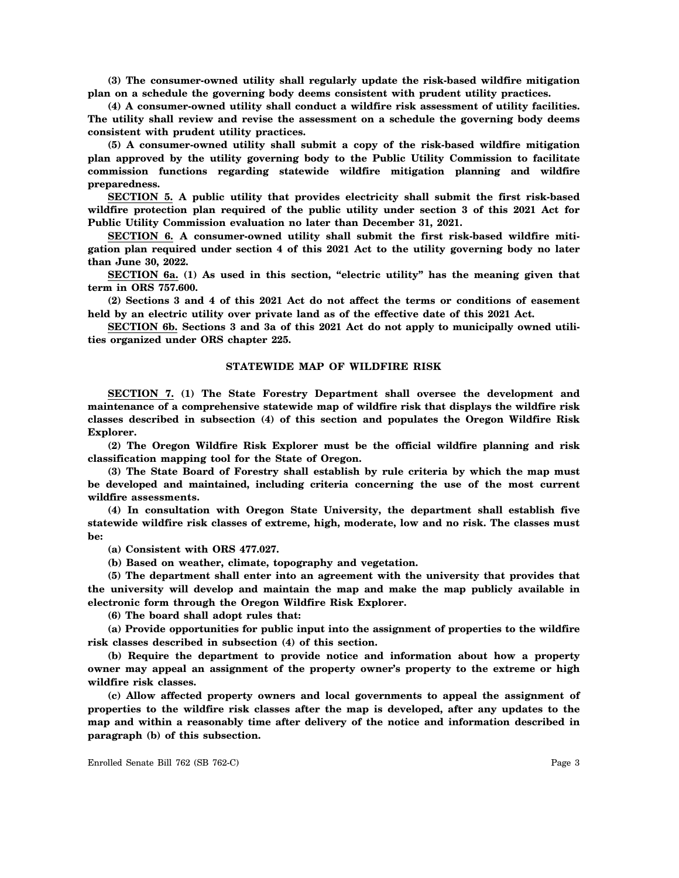**(3) The consumer-owned utility shall regularly update the risk-based wildfire mitigation plan on a schedule the governing body deems consistent with prudent utility practices.**

**(4) A consumer-owned utility shall conduct a wildfire risk assessment of utility facilities. The utility shall review and revise the assessment on a schedule the governing body deems consistent with prudent utility practices.**

**(5) A consumer-owned utility shall submit a copy of the risk-based wildfire mitigation plan approved by the utility governing body to the Public Utility Commission to facilitate commission functions regarding statewide wildfire mitigation planning and wildfire preparedness.**

**SECTION 5. A public utility that provides electricity shall submit the first risk-based wildfire protection plan required of the public utility under section 3 of this 2021 Act for Public Utility Commission evaluation no later than December 31, 2021.**

**SECTION 6. A consumer-owned utility shall submit the first risk-based wildfire mitigation plan required under section 4 of this 2021 Act to the utility governing body no later than June 30, 2022.**

**SECTION 6a. (1) As used in this section, "electric utility" has the meaning given that term in ORS 757.600.**

**(2) Sections 3 and 4 of this 2021 Act do not affect the terms or conditions of easement held by an electric utility over private land as of the effective date of this 2021 Act.**

**SECTION 6b. Sections 3 and 3a of this 2021 Act do not apply to municipally owned utilities organized under ORS chapter 225.**

## **STATEWIDE MAP OF WILDFIRE RISK**

**SECTION 7. (1) The State Forestry Department shall oversee the development and maintenance of a comprehensive statewide map of wildfire risk that displays the wildfire risk classes described in subsection (4) of this section and populates the Oregon Wildfire Risk Explorer.**

**(2) The Oregon Wildfire Risk Explorer must be the official wildfire planning and risk classification mapping tool for the State of Oregon.**

**(3) The State Board of Forestry shall establish by rule criteria by which the map must be developed and maintained, including criteria concerning the use of the most current wildfire assessments.**

**(4) In consultation with Oregon State University, the department shall establish five statewide wildfire risk classes of extreme, high, moderate, low and no risk. The classes must be:**

**(a) Consistent with ORS 477.027.**

**(b) Based on weather, climate, topography and vegetation.**

**(5) The department shall enter into an agreement with the university that provides that the university will develop and maintain the map and make the map publicly available in electronic form through the Oregon Wildfire Risk Explorer.**

**(6) The board shall adopt rules that:**

**(a) Provide opportunities for public input into the assignment of properties to the wildfire risk classes described in subsection (4) of this section.**

**(b) Require the department to provide notice and information about how a property owner may appeal an assignment of the property owner's property to the extreme or high wildfire risk classes.**

**(c) Allow affected property owners and local governments to appeal the assignment of properties to the wildfire risk classes after the map is developed, after any updates to the map and within a reasonably time after delivery of the notice and information described in paragraph (b) of this subsection.**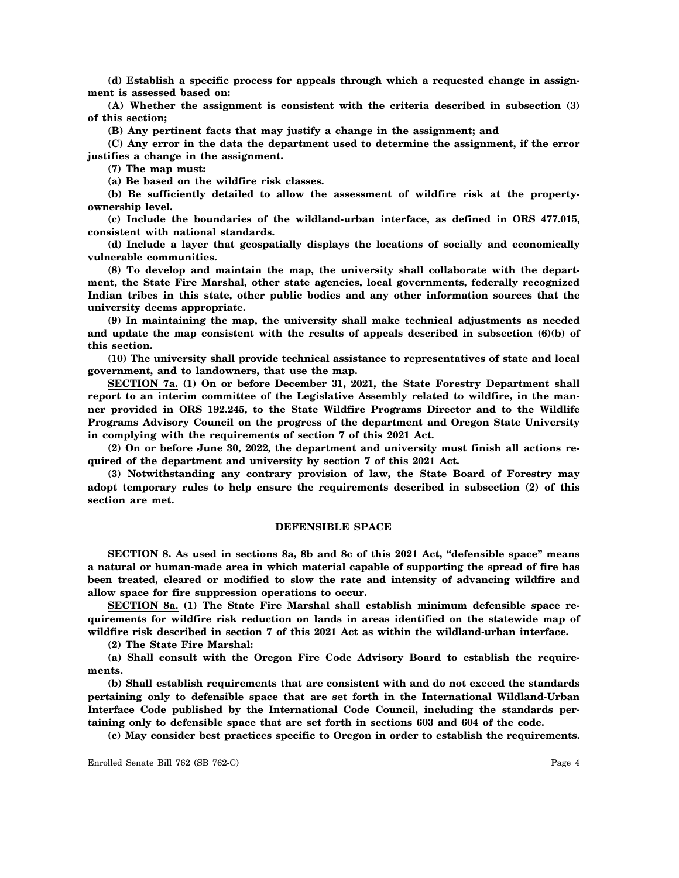**(d) Establish a specific process for appeals through which a requested change in assignment is assessed based on:**

**(A) Whether the assignment is consistent with the criteria described in subsection (3) of this section;**

**(B) Any pertinent facts that may justify a change in the assignment; and**

**(C) Any error in the data the department used to determine the assignment, if the error justifies a change in the assignment.**

**(7) The map must:**

**(a) Be based on the wildfire risk classes.**

**(b) Be sufficiently detailed to allow the assessment of wildfire risk at the propertyownership level.**

**(c) Include the boundaries of the wildland-urban interface, as defined in ORS 477.015, consistent with national standards.**

**(d) Include a layer that geospatially displays the locations of socially and economically vulnerable communities.**

**(8) To develop and maintain the map, the university shall collaborate with the department, the State Fire Marshal, other state agencies, local governments, federally recognized Indian tribes in this state, other public bodies and any other information sources that the university deems appropriate.**

**(9) In maintaining the map, the university shall make technical adjustments as needed and update the map consistent with the results of appeals described in subsection (6)(b) of this section.**

**(10) The university shall provide technical assistance to representatives of state and local government, and to landowners, that use the map.**

**SECTION 7a. (1) On or before December 31, 2021, the State Forestry Department shall report to an interim committee of the Legislative Assembly related to wildfire, in the manner provided in ORS 192.245, to the State Wildfire Programs Director and to the Wildlife Programs Advisory Council on the progress of the department and Oregon State University in complying with the requirements of section 7 of this 2021 Act.**

**(2) On or before June 30, 2022, the department and university must finish all actions required of the department and university by section 7 of this 2021 Act.**

**(3) Notwithstanding any contrary provision of law, the State Board of Forestry may adopt temporary rules to help ensure the requirements described in subsection (2) of this section are met.**

#### **DEFENSIBLE SPACE**

**SECTION 8. As used in sections 8a, 8b and 8c of this 2021 Act, "defensible space" means a natural or human-made area in which material capable of supporting the spread of fire has been treated, cleared or modified to slow the rate and intensity of advancing wildfire and allow space for fire suppression operations to occur.**

**SECTION 8a. (1) The State Fire Marshal shall establish minimum defensible space requirements for wildfire risk reduction on lands in areas identified on the statewide map of wildfire risk described in section 7 of this 2021 Act as within the wildland-urban interface.**

**(2) The State Fire Marshal:**

**(a) Shall consult with the Oregon Fire Code Advisory Board to establish the requirements.**

**(b) Shall establish requirements that are consistent with and do not exceed the standards pertaining only to defensible space that are set forth in the International Wildland-Urban Interface Code published by the International Code Council, including the standards pertaining only to defensible space that are set forth in sections 603 and 604 of the code.**

**(c) May consider best practices specific to Oregon in order to establish the requirements.**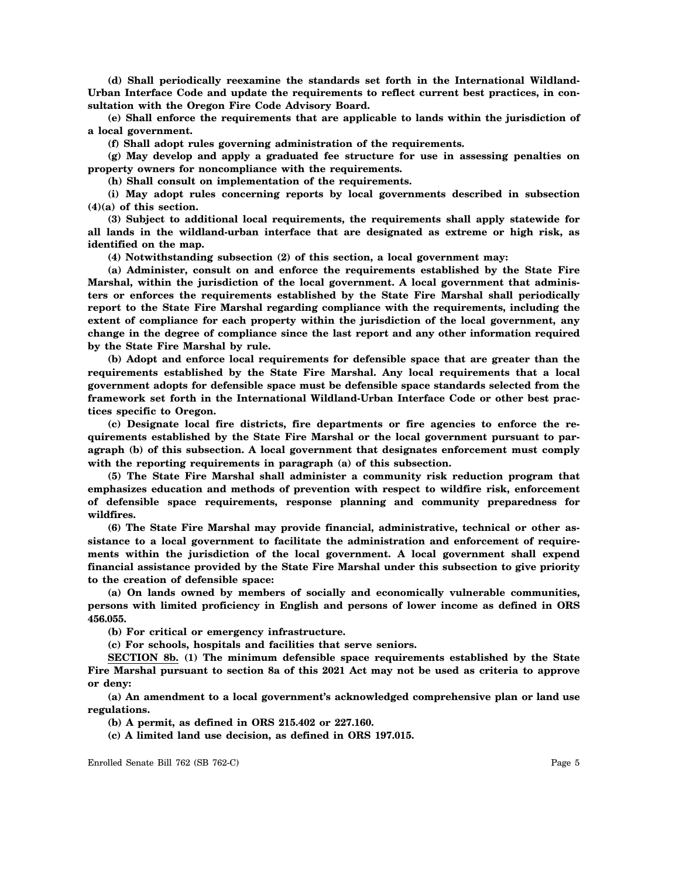**(d) Shall periodically reexamine the standards set forth in the International Wildland-Urban Interface Code and update the requirements to reflect current best practices, in consultation with the Oregon Fire Code Advisory Board.**

**(e) Shall enforce the requirements that are applicable to lands within the jurisdiction of a local government.**

**(f) Shall adopt rules governing administration of the requirements.**

**(g) May develop and apply a graduated fee structure for use in assessing penalties on property owners for noncompliance with the requirements.**

**(h) Shall consult on implementation of the requirements.**

**(i) May adopt rules concerning reports by local governments described in subsection (4)(a) of this section.**

**(3) Subject to additional local requirements, the requirements shall apply statewide for all lands in the wildland-urban interface that are designated as extreme or high risk, as identified on the map.**

**(4) Notwithstanding subsection (2) of this section, a local government may:**

**(a) Administer, consult on and enforce the requirements established by the State Fire Marshal, within the jurisdiction of the local government. A local government that administers or enforces the requirements established by the State Fire Marshal shall periodically report to the State Fire Marshal regarding compliance with the requirements, including the extent of compliance for each property within the jurisdiction of the local government, any change in the degree of compliance since the last report and any other information required by the State Fire Marshal by rule.**

**(b) Adopt and enforce local requirements for defensible space that are greater than the requirements established by the State Fire Marshal. Any local requirements that a local government adopts for defensible space must be defensible space standards selected from the framework set forth in the International Wildland-Urban Interface Code or other best practices specific to Oregon.**

**(c) Designate local fire districts, fire departments or fire agencies to enforce the requirements established by the State Fire Marshal or the local government pursuant to paragraph (b) of this subsection. A local government that designates enforcement must comply with the reporting requirements in paragraph (a) of this subsection.**

**(5) The State Fire Marshal shall administer a community risk reduction program that emphasizes education and methods of prevention with respect to wildfire risk, enforcement of defensible space requirements, response planning and community preparedness for wildfires.**

**(6) The State Fire Marshal may provide financial, administrative, technical or other assistance to a local government to facilitate the administration and enforcement of requirements within the jurisdiction of the local government. A local government shall expend financial assistance provided by the State Fire Marshal under this subsection to give priority to the creation of defensible space:**

**(a) On lands owned by members of socially and economically vulnerable communities, persons with limited proficiency in English and persons of lower income as defined in ORS 456.055.**

**(b) For critical or emergency infrastructure.**

**(c) For schools, hospitals and facilities that serve seniors.**

**SECTION 8b. (1) The minimum defensible space requirements established by the State Fire Marshal pursuant to section 8a of this 2021 Act may not be used as criteria to approve or deny:**

**(a) An amendment to a local government's acknowledged comprehensive plan or land use regulations.**

**(b) A permit, as defined in ORS 215.402 or 227.160.**

**(c) A limited land use decision, as defined in ORS 197.015.**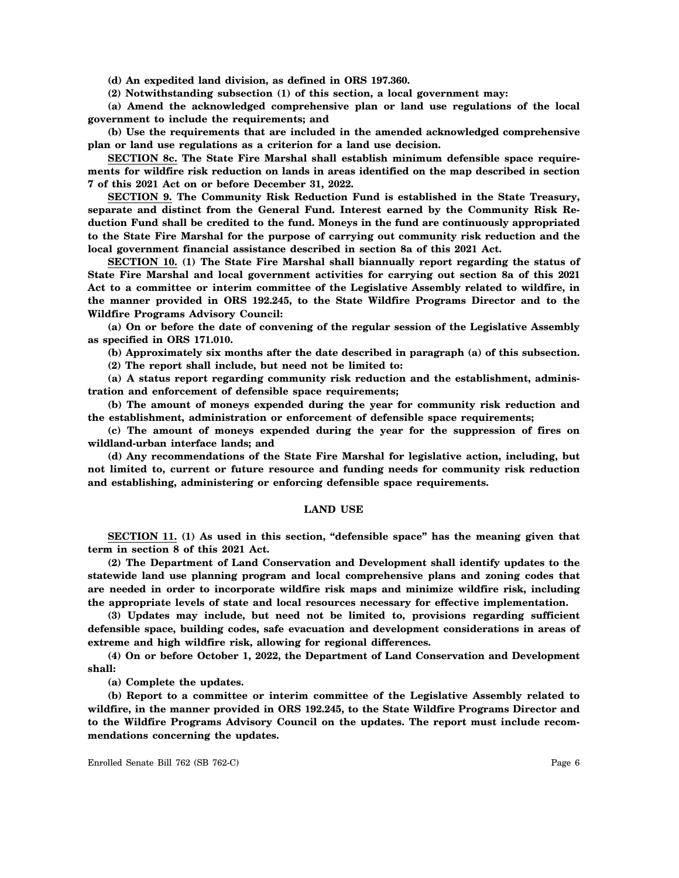**(d) An expedited land division, as defined in ORS 197.360.**

**(2) Notwithstanding subsection (1) of this section, a local government may:**

**(a) Amend the acknowledged comprehensive plan or land use regulations of the local government to include the requirements; and**

**(b) Use the requirements that are included in the amended acknowledged comprehensive plan or land use regulations as a criterion for a land use decision.**

**SECTION 8c. The State Fire Marshal shall establish minimum defensible space requirements for wildfire risk reduction on lands in areas identified on the map described in section 7 of this 2021 Act on or before December 31, 2022.**

**SECTION 9. The Community Risk Reduction Fund is established in the State Treasury, separate and distinct from the General Fund. Interest earned by the Community Risk Reduction Fund shall be credited to the fund. Moneys in the fund are continuously appropriated to the State Fire Marshal for the purpose of carrying out community risk reduction and the local government financial assistance described in section 8a of this 2021 Act.**

**SECTION 10. (1) The State Fire Marshal shall biannually report regarding the status of State Fire Marshal and local government activities for carrying out section 8a of this 2021 Act to a committee or interim committee of the Legislative Assembly related to wildfire, in the manner provided in ORS 192.245, to the State Wildfire Programs Director and to the Wildfire Programs Advisory Council:**

**(a) On or before the date of convening of the regular session of the Legislative Assembly as specified in ORS 171.010.**

**(b) Approximately six months after the date described in paragraph (a) of this subsection.**

**(2) The report shall include, but need not be limited to:**

**(a) A status report regarding community risk reduction and the establishment, administration and enforcement of defensible space requirements;**

**(b) The amount of moneys expended during the year for community risk reduction and the establishment, administration or enforcement of defensible space requirements;**

**(c) The amount of moneys expended during the year for the suppression of fires on wildland-urban interface lands; and**

**(d) Any recommendations of the State Fire Marshal for legislative action, including, but not limited to, current or future resource and funding needs for community risk reduction and establishing, administering or enforcing defensible space requirements.**

#### **LAND USE**

**SECTION 11. (1) As used in this section, "defensible space" has the meaning given that term in section 8 of this 2021 Act.**

**(2) The Department of Land Conservation and Development shall identify updates to the statewide land use planning program and local comprehensive plans and zoning codes that are needed in order to incorporate wildfire risk maps and minimize wildfire risk, including the appropriate levels of state and local resources necessary for effective implementation.**

**(3) Updates may include, but need not be limited to, provisions regarding sufficient defensible space, building codes, safe evacuation and development considerations in areas of extreme and high wildfire risk, allowing for regional differences.**

**(4) On or before October 1, 2022, the Department of Land Conservation and Development shall:**

**(a) Complete the updates.**

**(b) Report to a committee or interim committee of the Legislative Assembly related to wildfire, in the manner provided in ORS 192.245, to the State Wildfire Programs Director and to the Wildfire Programs Advisory Council on the updates. The report must include recommendations concerning the updates.**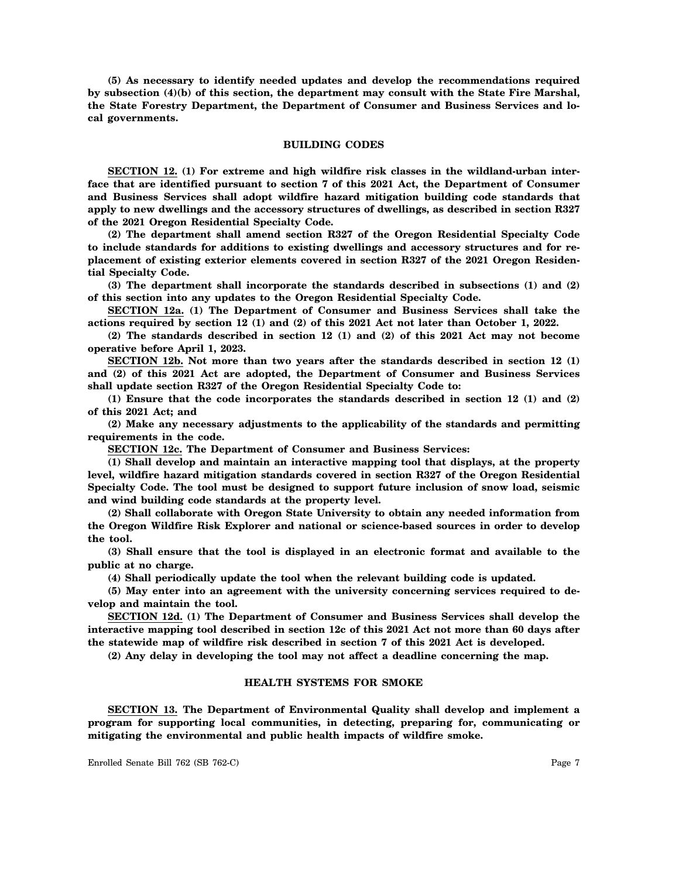**(5) As necessary to identify needed updates and develop the recommendations required by subsection (4)(b) of this section, the department may consult with the State Fire Marshal, the State Forestry Department, the Department of Consumer and Business Services and local governments.**

#### **BUILDING CODES**

**SECTION 12. (1) For extreme and high wildfire risk classes in the wildland-urban interface that are identified pursuant to section 7 of this 2021 Act, the Department of Consumer and Business Services shall adopt wildfire hazard mitigation building code standards that apply to new dwellings and the accessory structures of dwellings, as described in section R327 of the 2021 Oregon Residential Specialty Code.**

**(2) The department shall amend section R327 of the Oregon Residential Specialty Code to include standards for additions to existing dwellings and accessory structures and for replacement of existing exterior elements covered in section R327 of the 2021 Oregon Residential Specialty Code.**

**(3) The department shall incorporate the standards described in subsections (1) and (2) of this section into any updates to the Oregon Residential Specialty Code.**

**SECTION 12a. (1) The Department of Consumer and Business Services shall take the actions required by section 12 (1) and (2) of this 2021 Act not later than October 1, 2022.**

**(2) The standards described in section 12 (1) and (2) of this 2021 Act may not become operative before April 1, 2023.**

**SECTION 12b. Not more than two years after the standards described in section 12 (1) and (2) of this 2021 Act are adopted, the Department of Consumer and Business Services shall update section R327 of the Oregon Residential Specialty Code to:**

**(1) Ensure that the code incorporates the standards described in section 12 (1) and (2) of this 2021 Act; and**

**(2) Make any necessary adjustments to the applicability of the standards and permitting requirements in the code.**

**SECTION 12c. The Department of Consumer and Business Services:**

**(1) Shall develop and maintain an interactive mapping tool that displays, at the property level, wildfire hazard mitigation standards covered in section R327 of the Oregon Residential Specialty Code. The tool must be designed to support future inclusion of snow load, seismic and wind building code standards at the property level.**

**(2) Shall collaborate with Oregon State University to obtain any needed information from the Oregon Wildfire Risk Explorer and national or science-based sources in order to develop the tool.**

**(3) Shall ensure that the tool is displayed in an electronic format and available to the public at no charge.**

**(4) Shall periodically update the tool when the relevant building code is updated.**

**(5) May enter into an agreement with the university concerning services required to develop and maintain the tool.**

**SECTION 12d. (1) The Department of Consumer and Business Services shall develop the interactive mapping tool described in section 12c of this 2021 Act not more than 60 days after the statewide map of wildfire risk described in section 7 of this 2021 Act is developed.**

**(2) Any delay in developing the tool may not affect a deadline concerning the map.**

## **HEALTH SYSTEMS FOR SMOKE**

**SECTION 13. The Department of Environmental Quality shall develop and implement a program for supporting local communities, in detecting, preparing for, communicating or mitigating the environmental and public health impacts of wildfire smoke.**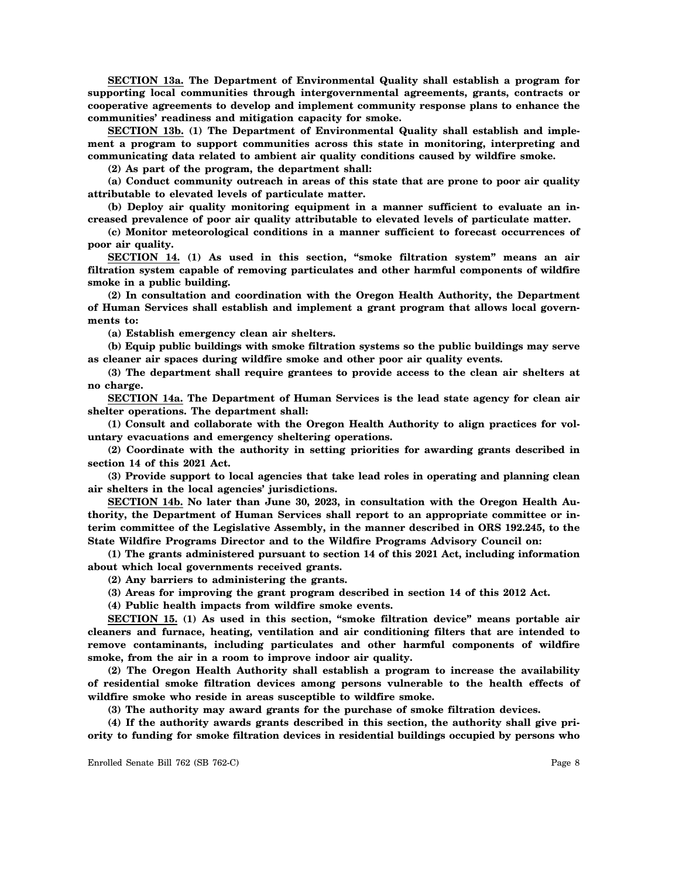**SECTION 13a. The Department of Environmental Quality shall establish a program for supporting local communities through intergovernmental agreements, grants, contracts or cooperative agreements to develop and implement community response plans to enhance the communities' readiness and mitigation capacity for smoke.**

**SECTION 13b. (1) The Department of Environmental Quality shall establish and implement a program to support communities across this state in monitoring, interpreting and communicating data related to ambient air quality conditions caused by wildfire smoke.**

**(2) As part of the program, the department shall:**

**(a) Conduct community outreach in areas of this state that are prone to poor air quality attributable to elevated levels of particulate matter.**

**(b) Deploy air quality monitoring equipment in a manner sufficient to evaluate an increased prevalence of poor air quality attributable to elevated levels of particulate matter.**

**(c) Monitor meteorological conditions in a manner sufficient to forecast occurrences of poor air quality.**

**SECTION 14. (1) As used in this section, "smoke filtration system" means an air filtration system capable of removing particulates and other harmful components of wildfire smoke in a public building.**

**(2) In consultation and coordination with the Oregon Health Authority, the Department of Human Services shall establish and implement a grant program that allows local governments to:**

**(a) Establish emergency clean air shelters.**

**(b) Equip public buildings with smoke filtration systems so the public buildings may serve as cleaner air spaces during wildfire smoke and other poor air quality events.**

**(3) The department shall require grantees to provide access to the clean air shelters at no charge.**

**SECTION 14a. The Department of Human Services is the lead state agency for clean air shelter operations. The department shall:**

**(1) Consult and collaborate with the Oregon Health Authority to align practices for voluntary evacuations and emergency sheltering operations.**

**(2) Coordinate with the authority in setting priorities for awarding grants described in section 14 of this 2021 Act.**

**(3) Provide support to local agencies that take lead roles in operating and planning clean air shelters in the local agencies' jurisdictions.**

**SECTION 14b. No later than June 30, 2023, in consultation with the Oregon Health Authority, the Department of Human Services shall report to an appropriate committee or interim committee of the Legislative Assembly, in the manner described in ORS 192.245, to the State Wildfire Programs Director and to the Wildfire Programs Advisory Council on:**

**(1) The grants administered pursuant to section 14 of this 2021 Act, including information about which local governments received grants.**

**(2) Any barriers to administering the grants.**

**(3) Areas for improving the grant program described in section 14 of this 2012 Act.**

**(4) Public health impacts from wildfire smoke events.**

**SECTION 15. (1) As used in this section, "smoke filtration device" means portable air cleaners and furnace, heating, ventilation and air conditioning filters that are intended to remove contaminants, including particulates and other harmful components of wildfire smoke, from the air in a room to improve indoor air quality.**

**(2) The Oregon Health Authority shall establish a program to increase the availability of residential smoke filtration devices among persons vulnerable to the health effects of wildfire smoke who reside in areas susceptible to wildfire smoke.**

**(3) The authority may award grants for the purchase of smoke filtration devices.**

**(4) If the authority awards grants described in this section, the authority shall give priority to funding for smoke filtration devices in residential buildings occupied by persons who**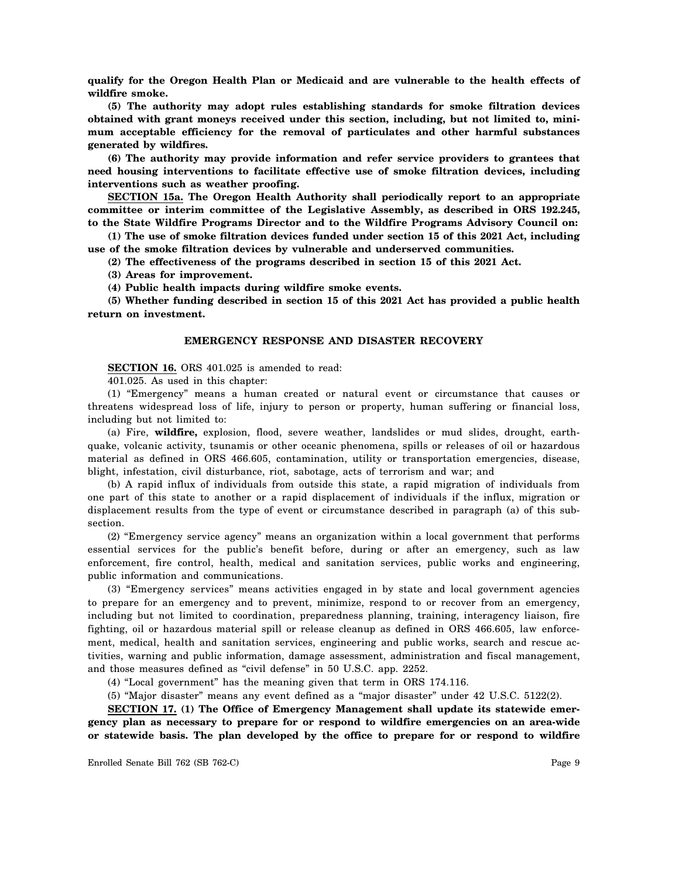**qualify for the Oregon Health Plan or Medicaid and are vulnerable to the health effects of wildfire smoke.**

**(5) The authority may adopt rules establishing standards for smoke filtration devices obtained with grant moneys received under this section, including, but not limited to, minimum acceptable efficiency for the removal of particulates and other harmful substances generated by wildfires.**

**(6) The authority may provide information and refer service providers to grantees that need housing interventions to facilitate effective use of smoke filtration devices, including interventions such as weather proofing.**

**SECTION 15a. The Oregon Health Authority shall periodically report to an appropriate committee or interim committee of the Legislative Assembly, as described in ORS 192.245, to the State Wildfire Programs Director and to the Wildfire Programs Advisory Council on:**

**(1) The use of smoke filtration devices funded under section 15 of this 2021 Act, including use of the smoke filtration devices by vulnerable and underserved communities.**

**(2) The effectiveness of the programs described in section 15 of this 2021 Act.**

**(3) Areas for improvement.**

**(4) Public health impacts during wildfire smoke events.**

**(5) Whether funding described in section 15 of this 2021 Act has provided a public health return on investment.**

# **EMERGENCY RESPONSE AND DISASTER RECOVERY**

**SECTION 16.** ORS 401.025 is amended to read:

401.025. As used in this chapter:

(1) "Emergency" means a human created or natural event or circumstance that causes or threatens widespread loss of life, injury to person or property, human suffering or financial loss, including but not limited to:

(a) Fire, **wildfire,** explosion, flood, severe weather, landslides or mud slides, drought, earthquake, volcanic activity, tsunamis or other oceanic phenomena, spills or releases of oil or hazardous material as defined in ORS 466.605, contamination, utility or transportation emergencies, disease, blight, infestation, civil disturbance, riot, sabotage, acts of terrorism and war; and

(b) A rapid influx of individuals from outside this state, a rapid migration of individuals from one part of this state to another or a rapid displacement of individuals if the influx, migration or displacement results from the type of event or circumstance described in paragraph (a) of this subsection.

(2) "Emergency service agency" means an organization within a local government that performs essential services for the public's benefit before, during or after an emergency, such as law enforcement, fire control, health, medical and sanitation services, public works and engineering, public information and communications.

(3) "Emergency services" means activities engaged in by state and local government agencies to prepare for an emergency and to prevent, minimize, respond to or recover from an emergency, including but not limited to coordination, preparedness planning, training, interagency liaison, fire fighting, oil or hazardous material spill or release cleanup as defined in ORS 466.605, law enforcement, medical, health and sanitation services, engineering and public works, search and rescue activities, warning and public information, damage assessment, administration and fiscal management, and those measures defined as "civil defense" in 50 U.S.C. app. 2252.

(4) "Local government" has the meaning given that term in ORS 174.116.

(5) "Major disaster" means any event defined as a "major disaster" under 42 U.S.C. 5122(2).

**SECTION 17. (1) The Office of Emergency Management shall update its statewide emergency plan as necessary to prepare for or respond to wildfire emergencies on an area-wide or statewide basis. The plan developed by the office to prepare for or respond to wildfire**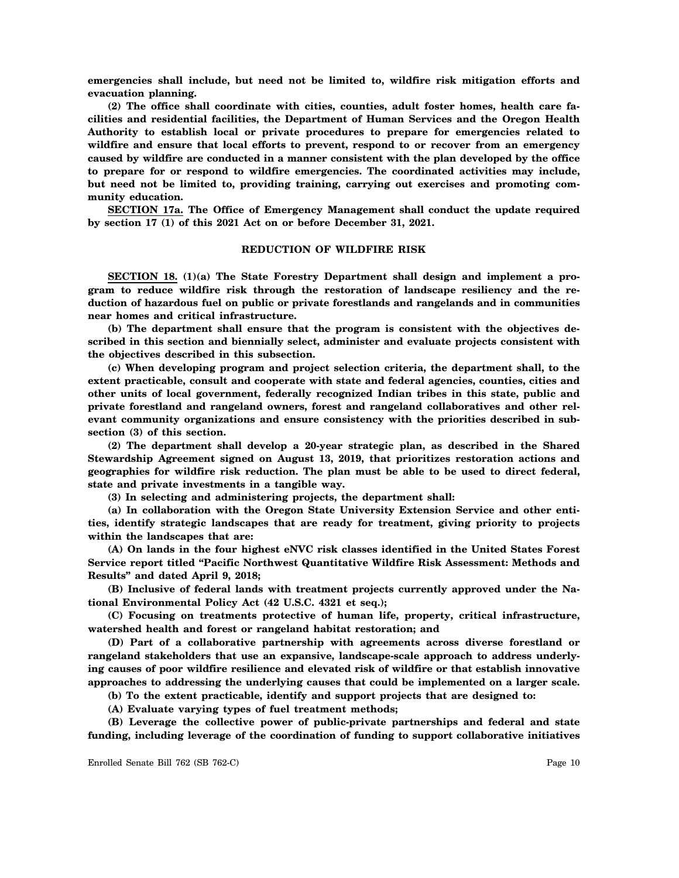**emergencies shall include, but need not be limited to, wildfire risk mitigation efforts and evacuation planning.**

**(2) The office shall coordinate with cities, counties, adult foster homes, health care facilities and residential facilities, the Department of Human Services and the Oregon Health Authority to establish local or private procedures to prepare for emergencies related to wildfire and ensure that local efforts to prevent, respond to or recover from an emergency caused by wildfire are conducted in a manner consistent with the plan developed by the office to prepare for or respond to wildfire emergencies. The coordinated activities may include, but need not be limited to, providing training, carrying out exercises and promoting community education.**

**SECTION 17a. The Office of Emergency Management shall conduct the update required by section 17 (1) of this 2021 Act on or before December 31, 2021.**

# **REDUCTION OF WILDFIRE RISK**

**SECTION 18. (1)(a) The State Forestry Department shall design and implement a program to reduce wildfire risk through the restoration of landscape resiliency and the reduction of hazardous fuel on public or private forestlands and rangelands and in communities near homes and critical infrastructure.**

**(b) The department shall ensure that the program is consistent with the objectives described in this section and biennially select, administer and evaluate projects consistent with the objectives described in this subsection.**

**(c) When developing program and project selection criteria, the department shall, to the extent practicable, consult and cooperate with state and federal agencies, counties, cities and other units of local government, federally recognized Indian tribes in this state, public and private forestland and rangeland owners, forest and rangeland collaboratives and other relevant community organizations and ensure consistency with the priorities described in subsection (3) of this section.**

**(2) The department shall develop a 20-year strategic plan, as described in the Shared Stewardship Agreement signed on August 13, 2019, that prioritizes restoration actions and geographies for wildfire risk reduction. The plan must be able to be used to direct federal, state and private investments in a tangible way.**

**(3) In selecting and administering projects, the department shall:**

**(a) In collaboration with the Oregon State University Extension Service and other entities, identify strategic landscapes that are ready for treatment, giving priority to projects within the landscapes that are:**

**(A) On lands in the four highest eNVC risk classes identified in the United States Forest Service report titled "Pacific Northwest Quantitative Wildfire Risk Assessment: Methods and Results" and dated April 9, 2018;**

**(B) Inclusive of federal lands with treatment projects currently approved under the National Environmental Policy Act (42 U.S.C. 4321 et seq.);**

**(C) Focusing on treatments protective of human life, property, critical infrastructure, watershed health and forest or rangeland habitat restoration; and**

**(D) Part of a collaborative partnership with agreements across diverse forestland or rangeland stakeholders that use an expansive, landscape-scale approach to address underlying causes of poor wildfire resilience and elevated risk of wildfire or that establish innovative approaches to addressing the underlying causes that could be implemented on a larger scale.**

**(b) To the extent practicable, identify and support projects that are designed to:**

**(A) Evaluate varying types of fuel treatment methods;**

**(B) Leverage the collective power of public-private partnerships and federal and state funding, including leverage of the coordination of funding to support collaborative initiatives**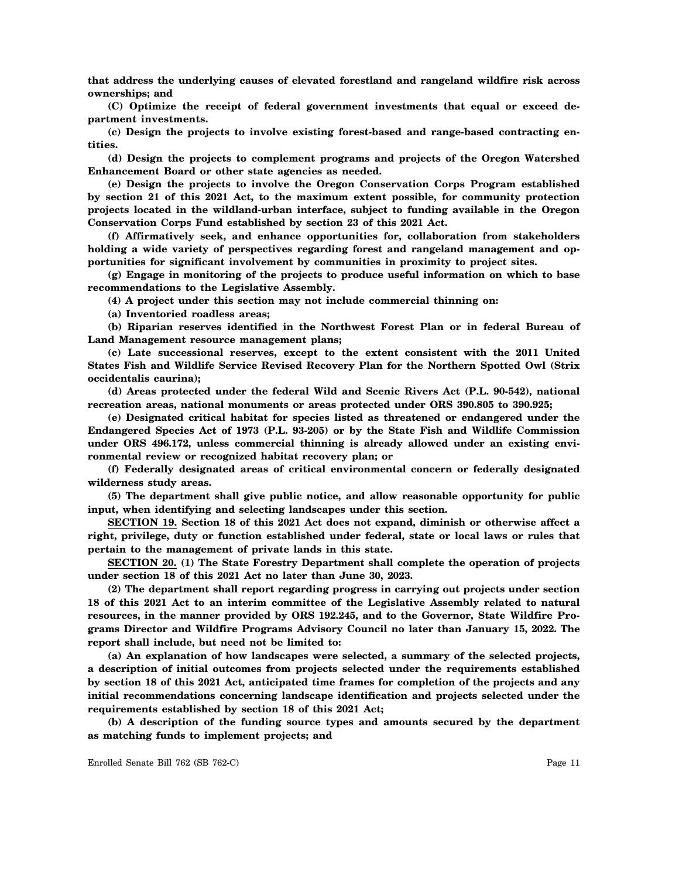**that address the underlying causes of elevated forestland and rangeland wildfire risk across ownerships; and**

**(C) Optimize the receipt of federal government investments that equal or exceed department investments.**

**(c) Design the projects to involve existing forest-based and range-based contracting entities.**

**(d) Design the projects to complement programs and projects of the Oregon Watershed Enhancement Board or other state agencies as needed.**

**(e) Design the projects to involve the Oregon Conservation Corps Program established by section 21 of this 2021 Act, to the maximum extent possible, for community protection projects located in the wildland-urban interface, subject to funding available in the Oregon Conservation Corps Fund established by section 23 of this 2021 Act.**

**(f) Affirmatively seek, and enhance opportunities for, collaboration from stakeholders holding a wide variety of perspectives regarding forest and rangeland management and opportunities for significant involvement by communities in proximity to project sites.**

**(g) Engage in monitoring of the projects to produce useful information on which to base recommendations to the Legislative Assembly.**

**(4) A project under this section may not include commercial thinning on:**

**(a) Inventoried roadless areas;**

**(b) Riparian reserves identified in the Northwest Forest Plan or in federal Bureau of Land Management resource management plans;**

**(c) Late successional reserves, except to the extent consistent with the 2011 United States Fish and Wildlife Service Revised Recovery Plan for the Northern Spotted Owl (Strix occidentalis caurina);**

**(d) Areas protected under the federal Wild and Scenic Rivers Act (P.L. 90-542), national recreation areas, national monuments or areas protected under ORS 390.805 to 390.925;**

**(e) Designated critical habitat for species listed as threatened or endangered under the Endangered Species Act of 1973 (P.L. 93-205) or by the State Fish and Wildlife Commission under ORS 496.172, unless commercial thinning is already allowed under an existing environmental review or recognized habitat recovery plan; or**

**(f) Federally designated areas of critical environmental concern or federally designated wilderness study areas.**

**(5) The department shall give public notice, and allow reasonable opportunity for public input, when identifying and selecting landscapes under this section.**

**SECTION 19. Section 18 of this 2021 Act does not expand, diminish or otherwise affect a right, privilege, duty or function established under federal, state or local laws or rules that pertain to the management of private lands in this state.**

**SECTION 20. (1) The State Forestry Department shall complete the operation of projects under section 18 of this 2021 Act no later than June 30, 2023.**

**(2) The department shall report regarding progress in carrying out projects under section 18 of this 2021 Act to an interim committee of the Legislative Assembly related to natural resources, in the manner provided by ORS 192.245, and to the Governor, State Wildfire Programs Director and Wildfire Programs Advisory Council no later than January 15, 2022. The report shall include, but need not be limited to:**

**(a) An explanation of how landscapes were selected, a summary of the selected projects, a description of initial outcomes from projects selected under the requirements established by section 18 of this 2021 Act, anticipated time frames for completion of the projects and any initial recommendations concerning landscape identification and projects selected under the requirements established by section 18 of this 2021 Act;**

**(b) A description of the funding source types and amounts secured by the department as matching funds to implement projects; and**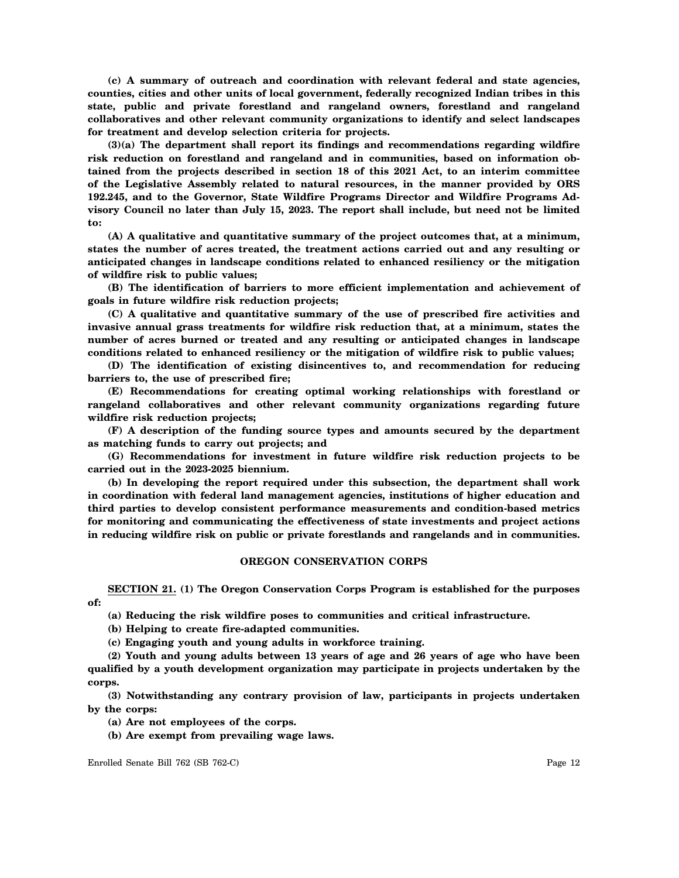**(c) A summary of outreach and coordination with relevant federal and state agencies, counties, cities and other units of local government, federally recognized Indian tribes in this state, public and private forestland and rangeland owners, forestland and rangeland collaboratives and other relevant community organizations to identify and select landscapes for treatment and develop selection criteria for projects.**

**(3)(a) The department shall report its findings and recommendations regarding wildfire risk reduction on forestland and rangeland and in communities, based on information obtained from the projects described in section 18 of this 2021 Act, to an interim committee of the Legislative Assembly related to natural resources, in the manner provided by ORS 192.245, and to the Governor, State Wildfire Programs Director and Wildfire Programs Advisory Council no later than July 15, 2023. The report shall include, but need not be limited to:**

**(A) A qualitative and quantitative summary of the project outcomes that, at a minimum, states the number of acres treated, the treatment actions carried out and any resulting or anticipated changes in landscape conditions related to enhanced resiliency or the mitigation of wildfire risk to public values;**

**(B) The identification of barriers to more efficient implementation and achievement of goals in future wildfire risk reduction projects;**

**(C) A qualitative and quantitative summary of the use of prescribed fire activities and invasive annual grass treatments for wildfire risk reduction that, at a minimum, states the number of acres burned or treated and any resulting or anticipated changes in landscape conditions related to enhanced resiliency or the mitigation of wildfire risk to public values;**

**(D) The identification of existing disincentives to, and recommendation for reducing barriers to, the use of prescribed fire;**

**(E) Recommendations for creating optimal working relationships with forestland or rangeland collaboratives and other relevant community organizations regarding future wildfire risk reduction projects;**

**(F) A description of the funding source types and amounts secured by the department as matching funds to carry out projects; and**

**(G) Recommendations for investment in future wildfire risk reduction projects to be carried out in the 2023-2025 biennium.**

**(b) In developing the report required under this subsection, the department shall work in coordination with federal land management agencies, institutions of higher education and third parties to develop consistent performance measurements and condition-based metrics for monitoring and communicating the effectiveness of state investments and project actions in reducing wildfire risk on public or private forestlands and rangelands and in communities.**

# **OREGON CONSERVATION CORPS**

**SECTION 21. (1) The Oregon Conservation Corps Program is established for the purposes of:**

**(a) Reducing the risk wildfire poses to communities and critical infrastructure.**

**(b) Helping to create fire-adapted communities.**

**(c) Engaging youth and young adults in workforce training.**

**(2) Youth and young adults between 13 years of age and 26 years of age who have been qualified by a youth development organization may participate in projects undertaken by the corps.**

**(3) Notwithstanding any contrary provision of law, participants in projects undertaken by the corps:**

**(a) Are not employees of the corps.**

**(b) Are exempt from prevailing wage laws.**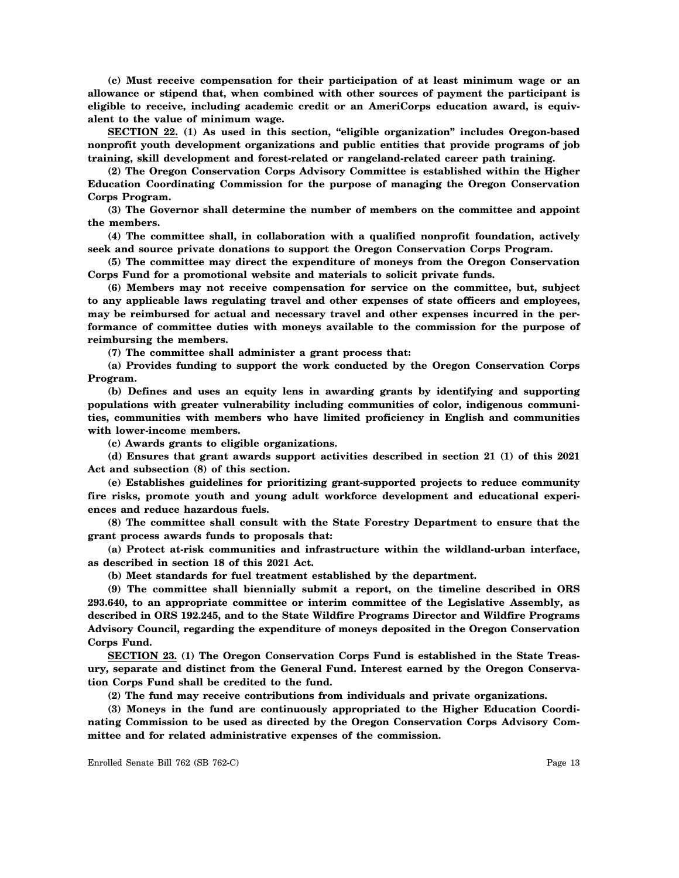**(c) Must receive compensation for their participation of at least minimum wage or an allowance or stipend that, when combined with other sources of payment the participant is eligible to receive, including academic credit or an AmeriCorps education award, is equivalent to the value of minimum wage.**

**SECTION 22. (1) As used in this section, "eligible organization" includes Oregon-based nonprofit youth development organizations and public entities that provide programs of job training, skill development and forest-related or rangeland-related career path training.**

**(2) The Oregon Conservation Corps Advisory Committee is established within the Higher Education Coordinating Commission for the purpose of managing the Oregon Conservation Corps Program.**

**(3) The Governor shall determine the number of members on the committee and appoint the members.**

**(4) The committee shall, in collaboration with a qualified nonprofit foundation, actively seek and source private donations to support the Oregon Conservation Corps Program.**

**(5) The committee may direct the expenditure of moneys from the Oregon Conservation Corps Fund for a promotional website and materials to solicit private funds.**

**(6) Members may not receive compensation for service on the committee, but, subject to any applicable laws regulating travel and other expenses of state officers and employees, may be reimbursed for actual and necessary travel and other expenses incurred in the performance of committee duties with moneys available to the commission for the purpose of reimbursing the members.**

**(7) The committee shall administer a grant process that:**

**(a) Provides funding to support the work conducted by the Oregon Conservation Corps Program.**

**(b) Defines and uses an equity lens in awarding grants by identifying and supporting populations with greater vulnerability including communities of color, indigenous communities, communities with members who have limited proficiency in English and communities with lower-income members.**

**(c) Awards grants to eligible organizations.**

**(d) Ensures that grant awards support activities described in section 21 (1) of this 2021 Act and subsection (8) of this section.**

**(e) Establishes guidelines for prioritizing grant-supported projects to reduce community fire risks, promote youth and young adult workforce development and educational experiences and reduce hazardous fuels.**

**(8) The committee shall consult with the State Forestry Department to ensure that the grant process awards funds to proposals that:**

**(a) Protect at-risk communities and infrastructure within the wildland-urban interface, as described in section 18 of this 2021 Act.**

**(b) Meet standards for fuel treatment established by the department.**

**(9) The committee shall biennially submit a report, on the timeline described in ORS 293.640, to an appropriate committee or interim committee of the Legislative Assembly, as described in ORS 192.245, and to the State Wildfire Programs Director and Wildfire Programs Advisory Council, regarding the expenditure of moneys deposited in the Oregon Conservation Corps Fund.**

**SECTION 23. (1) The Oregon Conservation Corps Fund is established in the State Treasury, separate and distinct from the General Fund. Interest earned by the Oregon Conservation Corps Fund shall be credited to the fund.**

**(2) The fund may receive contributions from individuals and private organizations.**

**(3) Moneys in the fund are continuously appropriated to the Higher Education Coordinating Commission to be used as directed by the Oregon Conservation Corps Advisory Committee and for related administrative expenses of the commission.**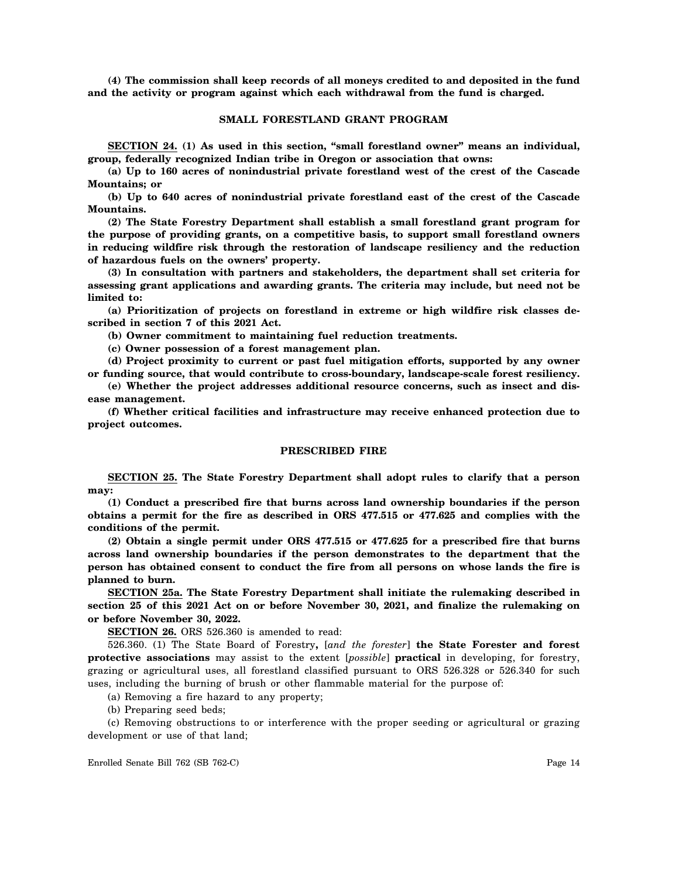**(4) The commission shall keep records of all moneys credited to and deposited in the fund and the activity or program against which each withdrawal from the fund is charged.**

#### **SMALL FORESTLAND GRANT PROGRAM**

**SECTION 24. (1) As used in this section, "small forestland owner" means an individual, group, federally recognized Indian tribe in Oregon or association that owns:**

**(a) Up to 160 acres of nonindustrial private forestland west of the crest of the Cascade Mountains; or**

**(b) Up to 640 acres of nonindustrial private forestland east of the crest of the Cascade Mountains.**

**(2) The State Forestry Department shall establish a small forestland grant program for the purpose of providing grants, on a competitive basis, to support small forestland owners in reducing wildfire risk through the restoration of landscape resiliency and the reduction of hazardous fuels on the owners' property.**

**(3) In consultation with partners and stakeholders, the department shall set criteria for assessing grant applications and awarding grants. The criteria may include, but need not be limited to:**

**(a) Prioritization of projects on forestland in extreme or high wildfire risk classes described in section 7 of this 2021 Act.**

**(b) Owner commitment to maintaining fuel reduction treatments.**

**(c) Owner possession of a forest management plan.**

**(d) Project proximity to current or past fuel mitigation efforts, supported by any owner**

**or funding source, that would contribute to cross-boundary, landscape-scale forest resiliency. (e) Whether the project addresses additional resource concerns, such as insect and disease management.**

**(f) Whether critical facilities and infrastructure may receive enhanced protection due to project outcomes.**

#### **PRESCRIBED FIRE**

**SECTION 25. The State Forestry Department shall adopt rules to clarify that a person may:**

**(1) Conduct a prescribed fire that burns across land ownership boundaries if the person obtains a permit for the fire as described in ORS 477.515 or 477.625 and complies with the conditions of the permit.**

**(2) Obtain a single permit under ORS 477.515 or 477.625 for a prescribed fire that burns across land ownership boundaries if the person demonstrates to the department that the person has obtained consent to conduct the fire from all persons on whose lands the fire is planned to burn.**

**SECTION 25a. The State Forestry Department shall initiate the rulemaking described in section 25 of this 2021 Act on or before November 30, 2021, and finalize the rulemaking on or before November 30, 2022.**

**SECTION 26.** ORS 526.360 is amended to read:

526.360. (1) The State Board of Forestry**,** [*and the forester*] **the State Forester and forest protective associations** may assist to the extent [*possible*] **practical** in developing, for forestry, grazing or agricultural uses, all forestland classified pursuant to ORS 526.328 or 526.340 for such uses, including the burning of brush or other flammable material for the purpose of:

(a) Removing a fire hazard to any property;

(b) Preparing seed beds;

(c) Removing obstructions to or interference with the proper seeding or agricultural or grazing development or use of that land;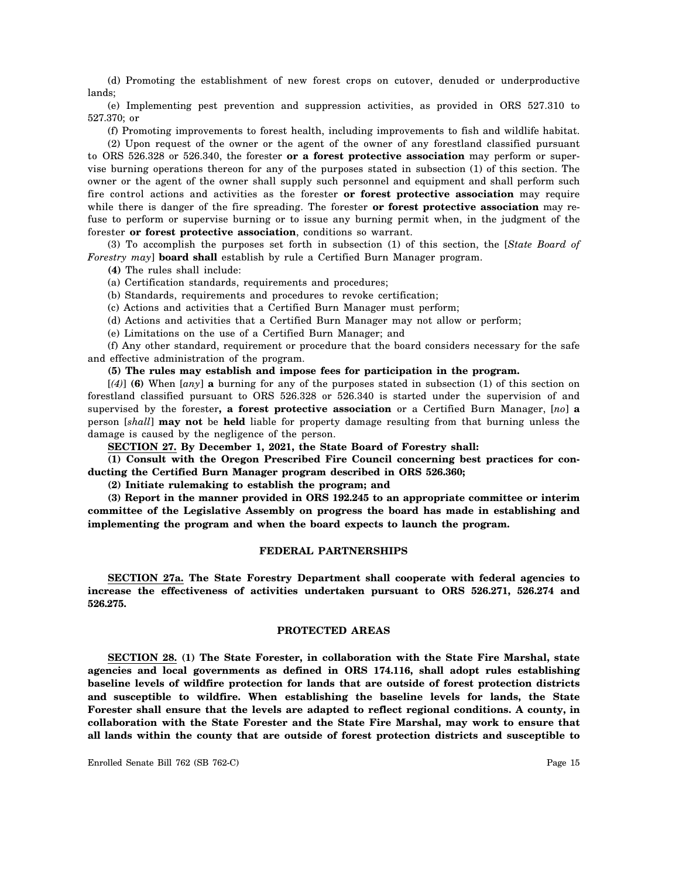(d) Promoting the establishment of new forest crops on cutover, denuded or underproductive lands;

(e) Implementing pest prevention and suppression activities, as provided in ORS 527.310 to 527.370; or

(f) Promoting improvements to forest health, including improvements to fish and wildlife habitat.

(2) Upon request of the owner or the agent of the owner of any forestland classified pursuant to ORS 526.328 or 526.340, the forester **or a forest protective association** may perform or supervise burning operations thereon for any of the purposes stated in subsection (1) of this section. The owner or the agent of the owner shall supply such personnel and equipment and shall perform such fire control actions and activities as the forester **or forest protective association** may require while there is danger of the fire spreading. The forester **or forest protective association** may refuse to perform or supervise burning or to issue any burning permit when, in the judgment of the forester **or forest protective association**, conditions so warrant.

(3) To accomplish the purposes set forth in subsection (1) of this section, the [*State Board of Forestry may*] **board shall** establish by rule a Certified Burn Manager program.

**(4)** The rules shall include:

(a) Certification standards, requirements and procedures;

(b) Standards, requirements and procedures to revoke certification;

(c) Actions and activities that a Certified Burn Manager must perform;

(d) Actions and activities that a Certified Burn Manager may not allow or perform;

(e) Limitations on the use of a Certified Burn Manager; and

(f) Any other standard, requirement or procedure that the board considers necessary for the safe and effective administration of the program.

**(5) The rules may establish and impose fees for participation in the program.**

[*(4)*] **(6)** When [*any*] **a** burning for any of the purposes stated in subsection (1) of this section on forestland classified pursuant to ORS 526.328 or 526.340 is started under the supervision of and supervised by the forester**, a forest protective association** or a Certified Burn Manager, [*no*] **a** person [*shall*] **may not** be **held** liable for property damage resulting from that burning unless the damage is caused by the negligence of the person.

**SECTION 27. By December 1, 2021, the State Board of Forestry shall:**

**(1) Consult with the Oregon Prescribed Fire Council concerning best practices for conducting the Certified Burn Manager program described in ORS 526.360;**

**(2) Initiate rulemaking to establish the program; and**

**(3) Report in the manner provided in ORS 192.245 to an appropriate committee or interim committee of the Legislative Assembly on progress the board has made in establishing and implementing the program and when the board expects to launch the program.**

#### **FEDERAL PARTNERSHIPS**

**SECTION 27a. The State Forestry Department shall cooperate with federal agencies to increase the effectiveness of activities undertaken pursuant to ORS 526.271, 526.274 and 526.275.**

#### **PROTECTED AREAS**

**SECTION 28. (1) The State Forester, in collaboration with the State Fire Marshal, state agencies and local governments as defined in ORS 174.116, shall adopt rules establishing baseline levels of wildfire protection for lands that are outside of forest protection districts and susceptible to wildfire. When establishing the baseline levels for lands, the State Forester shall ensure that the levels are adapted to reflect regional conditions. A county, in collaboration with the State Forester and the State Fire Marshal, may work to ensure that all lands within the county that are outside of forest protection districts and susceptible to**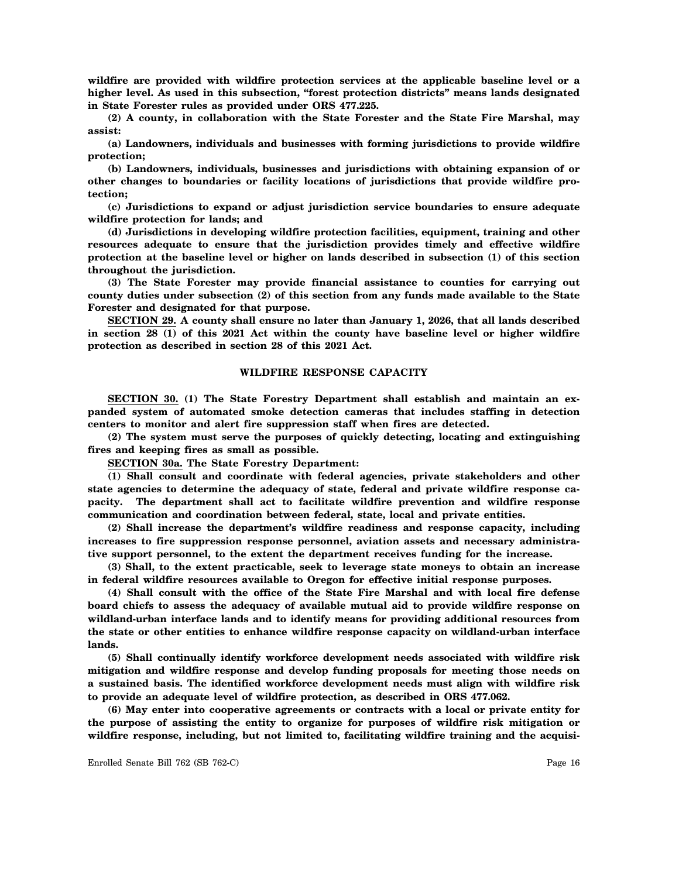**wildfire are provided with wildfire protection services at the applicable baseline level or a higher level. As used in this subsection, "forest protection districts" means lands designated in State Forester rules as provided under ORS 477.225.**

**(2) A county, in collaboration with the State Forester and the State Fire Marshal, may assist:**

**(a) Landowners, individuals and businesses with forming jurisdictions to provide wildfire protection;**

**(b) Landowners, individuals, businesses and jurisdictions with obtaining expansion of or other changes to boundaries or facility locations of jurisdictions that provide wildfire protection;**

**(c) Jurisdictions to expand or adjust jurisdiction service boundaries to ensure adequate wildfire protection for lands; and**

**(d) Jurisdictions in developing wildfire protection facilities, equipment, training and other resources adequate to ensure that the jurisdiction provides timely and effective wildfire protection at the baseline level or higher on lands described in subsection (1) of this section throughout the jurisdiction.**

**(3) The State Forester may provide financial assistance to counties for carrying out county duties under subsection (2) of this section from any funds made available to the State Forester and designated for that purpose.**

**SECTION 29. A county shall ensure no later than January 1, 2026, that all lands described in section 28 (1) of this 2021 Act within the county have baseline level or higher wildfire protection as described in section 28 of this 2021 Act.**

# **WILDFIRE RESPONSE CAPACITY**

**SECTION 30. (1) The State Forestry Department shall establish and maintain an expanded system of automated smoke detection cameras that includes staffing in detection centers to monitor and alert fire suppression staff when fires are detected.**

**(2) The system must serve the purposes of quickly detecting, locating and extinguishing fires and keeping fires as small as possible.**

**SECTION 30a. The State Forestry Department:**

**(1) Shall consult and coordinate with federal agencies, private stakeholders and other state agencies to determine the adequacy of state, federal and private wildfire response capacity. The department shall act to facilitate wildfire prevention and wildfire response communication and coordination between federal, state, local and private entities.**

**(2) Shall increase the department's wildfire readiness and response capacity, including increases to fire suppression response personnel, aviation assets and necessary administrative support personnel, to the extent the department receives funding for the increase.**

**(3) Shall, to the extent practicable, seek to leverage state moneys to obtain an increase in federal wildfire resources available to Oregon for effective initial response purposes.**

**(4) Shall consult with the office of the State Fire Marshal and with local fire defense board chiefs to assess the adequacy of available mutual aid to provide wildfire response on wildland-urban interface lands and to identify means for providing additional resources from the state or other entities to enhance wildfire response capacity on wildland-urban interface lands.**

**(5) Shall continually identify workforce development needs associated with wildfire risk mitigation and wildfire response and develop funding proposals for meeting those needs on a sustained basis. The identified workforce development needs must align with wildfire risk to provide an adequate level of wildfire protection, as described in ORS 477.062.**

**(6) May enter into cooperative agreements or contracts with a local or private entity for the purpose of assisting the entity to organize for purposes of wildfire risk mitigation or wildfire response, including, but not limited to, facilitating wildfire training and the acquisi-**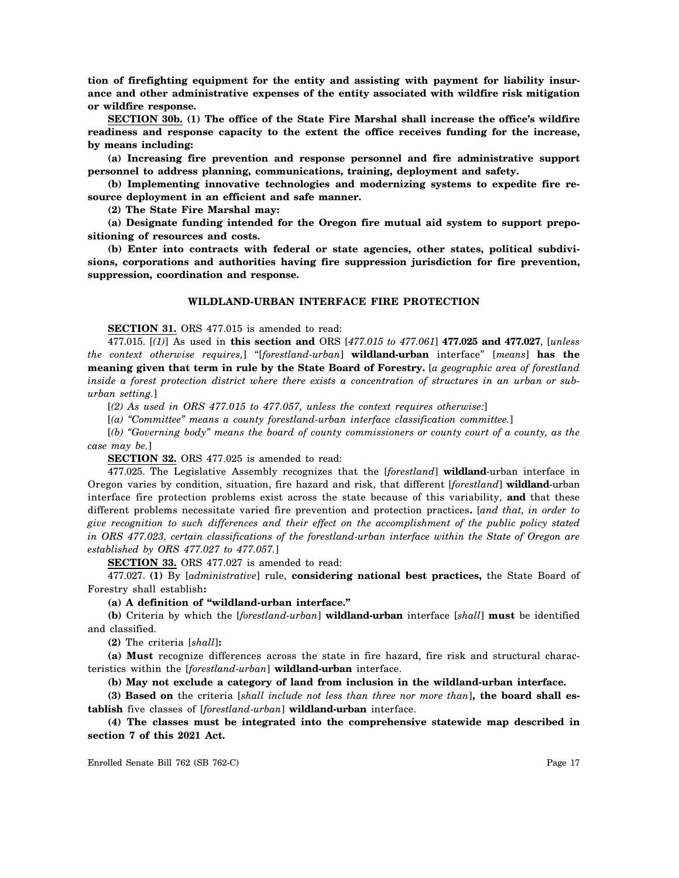**tion of firefighting equipment for the entity and assisting with payment for liability insurance and other administrative expenses of the entity associated with wildfire risk mitigation or wildfire response.**

**SECTION 30b. (1) The office of the State Fire Marshal shall increase the office's wildfire readiness and response capacity to the extent the office receives funding for the increase, by means including:**

**(a) Increasing fire prevention and response personnel and fire administrative support personnel to address planning, communications, training, deployment and safety.**

**(b) Implementing innovative technologies and modernizing systems to expedite fire resource deployment in an efficient and safe manner.**

**(2) The State Fire Marshal may:**

**(a) Designate funding intended for the Oregon fire mutual aid system to support prepositioning of resources and costs.**

**(b) Enter into contracts with federal or state agencies, other states, political subdivisions, corporations and authorities having fire suppression jurisdiction for fire prevention, suppression, coordination and response.**

# **WILDLAND-URBAN INTERFACE FIRE PROTECTION**

**SECTION 31.** ORS 477.015 is amended to read:

477.015. [*(1)*] As used in **this section and** ORS [*477.015 to 477.061*] **477.025 and 477.027**, [*unless the context otherwise requires,*] "[*forestland-urban*] **wildland-urban** interface" [*means*] **has the meaning given that term in rule by the State Board of Forestry.** [*a geographic area of forestland inside a forest protection district where there exists a concentration of structures in an urban or suburban setting.*]

[*(2) As used in ORS 477.015 to 477.057, unless the context requires otherwise:*]

[*(a) "Committee" means a county forestland-urban interface classification committee.*]

[*(b) "Governing body" means the board of county commissioners or county court of a county, as the case may be.*]

**SECTION 32.** ORS 477.025 is amended to read:

477.025. The Legislative Assembly recognizes that the [*forestland*] **wildland**-urban interface in Oregon varies by condition, situation, fire hazard and risk, that different [*forestland*] **wildland**-urban interface fire protection problems exist across the state because of this variability, **and** that these different problems necessitate varied fire prevention and protection practices**.** [*and that, in order to give recognition to such differences and their effect on the accomplishment of the public policy stated in ORS 477.023, certain classifications of the forestland-urban interface within the State of Oregon are established by ORS 477.027 to 477.057.*]

**SECTION 33.** ORS 477.027 is amended to read:

477.027. **(1)** By [*administrative*] rule, **considering national best practices,** the State Board of Forestry shall establish**:**

**(a) A definition of "wildland-urban interface."**

**(b)** Criteria by which the [*forestland-urban*] **wildland-urban** interface [*shall*] **must** be identified and classified.

**(2)** The criteria [*shall*]**:**

**(a) Must** recognize differences across the state in fire hazard, fire risk and structural characteristics within the [*forestland-urban*] **wildland-urban** interface.

**(b) May not exclude a category of land from inclusion in the wildland-urban interface.**

**(3) Based on** the criteria [*shall include not less than three nor more than*]**, the board shall establish** five classes of [*forestland-urban*] **wildland-urban** interface.

**(4) The classes must be integrated into the comprehensive statewide map described in section 7 of this 2021 Act.**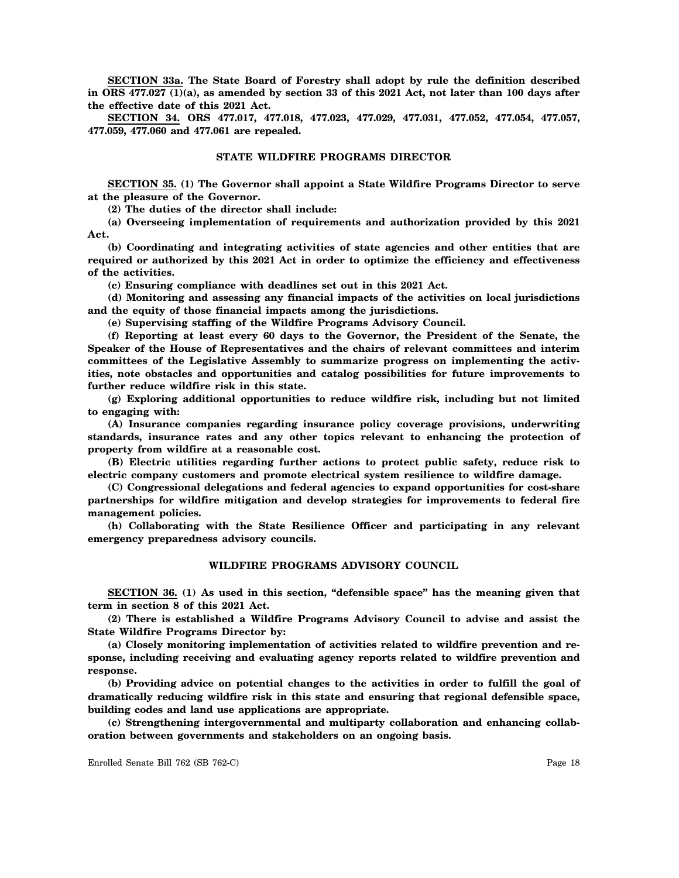**SECTION 33a. The State Board of Forestry shall adopt by rule the definition described in ORS 477.027 (1)(a), as amended by section 33 of this 2021 Act, not later than 100 days after the effective date of this 2021 Act.**

**SECTION 34. ORS 477.017, 477.018, 477.023, 477.029, 477.031, 477.052, 477.054, 477.057, 477.059, 477.060 and 477.061 are repealed.**

#### **STATE WILDFIRE PROGRAMS DIRECTOR**

**SECTION 35. (1) The Governor shall appoint a State Wildfire Programs Director to serve at the pleasure of the Governor.**

**(2) The duties of the director shall include:**

**(a) Overseeing implementation of requirements and authorization provided by this 2021 Act.**

**(b) Coordinating and integrating activities of state agencies and other entities that are required or authorized by this 2021 Act in order to optimize the efficiency and effectiveness of the activities.**

**(c) Ensuring compliance with deadlines set out in this 2021 Act.**

**(d) Monitoring and assessing any financial impacts of the activities on local jurisdictions and the equity of those financial impacts among the jurisdictions.**

**(e) Supervising staffing of the Wildfire Programs Advisory Council.**

**(f) Reporting at least every 60 days to the Governor, the President of the Senate, the Speaker of the House of Representatives and the chairs of relevant committees and interim committees of the Legislative Assembly to summarize progress on implementing the activities, note obstacles and opportunities and catalog possibilities for future improvements to further reduce wildfire risk in this state.**

**(g) Exploring additional opportunities to reduce wildfire risk, including but not limited to engaging with:**

**(A) Insurance companies regarding insurance policy coverage provisions, underwriting standards, insurance rates and any other topics relevant to enhancing the protection of property from wildfire at a reasonable cost.**

**(B) Electric utilities regarding further actions to protect public safety, reduce risk to electric company customers and promote electrical system resilience to wildfire damage.**

**(C) Congressional delegations and federal agencies to expand opportunities for cost-share partnerships for wildfire mitigation and develop strategies for improvements to federal fire management policies.**

**(h) Collaborating with the State Resilience Officer and participating in any relevant emergency preparedness advisory councils.**

# **WILDFIRE PROGRAMS ADVISORY COUNCIL**

**SECTION 36. (1) As used in this section, "defensible space" has the meaning given that term in section 8 of this 2021 Act.**

**(2) There is established a Wildfire Programs Advisory Council to advise and assist the State Wildfire Programs Director by:**

**(a) Closely monitoring implementation of activities related to wildfire prevention and response, including receiving and evaluating agency reports related to wildfire prevention and response.**

**(b) Providing advice on potential changes to the activities in order to fulfill the goal of dramatically reducing wildfire risk in this state and ensuring that regional defensible space, building codes and land use applications are appropriate.**

**(c) Strengthening intergovernmental and multiparty collaboration and enhancing collaboration between governments and stakeholders on an ongoing basis.**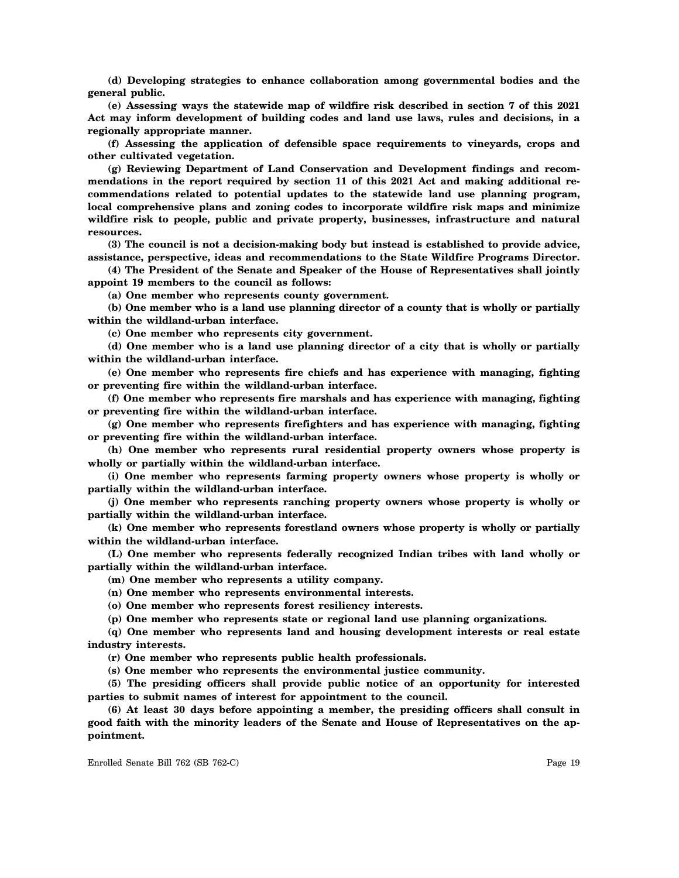**(d) Developing strategies to enhance collaboration among governmental bodies and the general public.**

**(e) Assessing ways the statewide map of wildfire risk described in section 7 of this 2021 Act may inform development of building codes and land use laws, rules and decisions, in a regionally appropriate manner.**

**(f) Assessing the application of defensible space requirements to vineyards, crops and other cultivated vegetation.**

**(g) Reviewing Department of Land Conservation and Development findings and recommendations in the report required by section 11 of this 2021 Act and making additional recommendations related to potential updates to the statewide land use planning program, local comprehensive plans and zoning codes to incorporate wildfire risk maps and minimize wildfire risk to people, public and private property, businesses, infrastructure and natural resources.**

**(3) The council is not a decision-making body but instead is established to provide advice, assistance, perspective, ideas and recommendations to the State Wildfire Programs Director.**

**(4) The President of the Senate and Speaker of the House of Representatives shall jointly appoint 19 members to the council as follows:**

**(a) One member who represents county government.**

**(b) One member who is a land use planning director of a county that is wholly or partially within the wildland-urban interface.**

**(c) One member who represents city government.**

**(d) One member who is a land use planning director of a city that is wholly or partially within the wildland-urban interface.**

**(e) One member who represents fire chiefs and has experience with managing, fighting or preventing fire within the wildland-urban interface.**

**(f) One member who represents fire marshals and has experience with managing, fighting or preventing fire within the wildland-urban interface.**

**(g) One member who represents firefighters and has experience with managing, fighting or preventing fire within the wildland-urban interface.**

**(h) One member who represents rural residential property owners whose property is wholly or partially within the wildland-urban interface.**

**(i) One member who represents farming property owners whose property is wholly or partially within the wildland-urban interface.**

**(j) One member who represents ranching property owners whose property is wholly or partially within the wildland-urban interface.**

**(k) One member who represents forestland owners whose property is wholly or partially within the wildland-urban interface.**

**(L) One member who represents federally recognized Indian tribes with land wholly or partially within the wildland-urban interface.**

**(m) One member who represents a utility company.**

**(n) One member who represents environmental interests.**

**(o) One member who represents forest resiliency interests.**

**(p) One member who represents state or regional land use planning organizations.**

**(q) One member who represents land and housing development interests or real estate industry interests.**

**(r) One member who represents public health professionals.**

**(s) One member who represents the environmental justice community.**

**(5) The presiding officers shall provide public notice of an opportunity for interested parties to submit names of interest for appointment to the council.**

**(6) At least 30 days before appointing a member, the presiding officers shall consult in good faith with the minority leaders of the Senate and House of Representatives on the appointment.**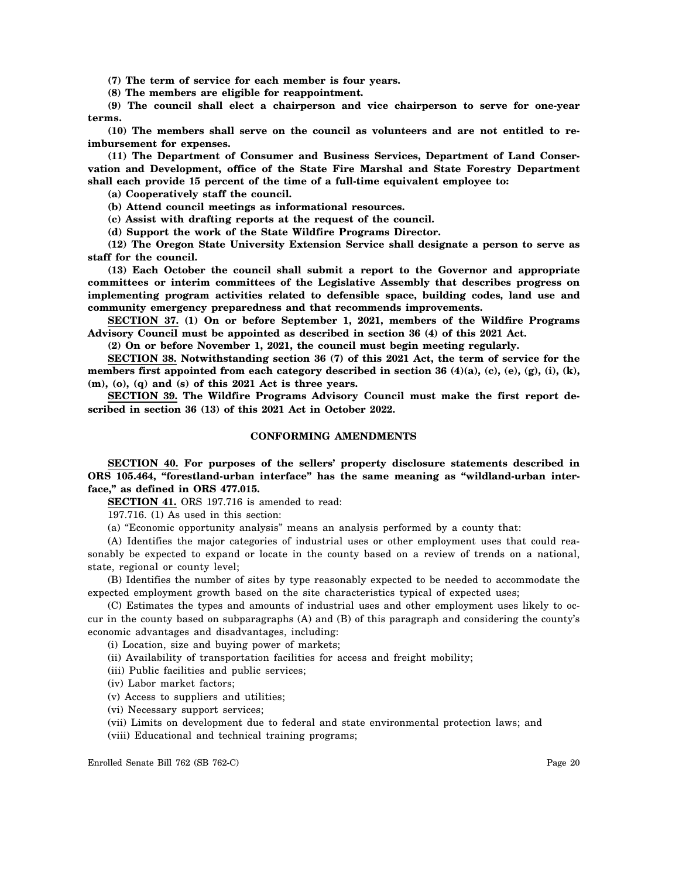**(7) The term of service for each member is four years.**

**(8) The members are eligible for reappointment.**

**(9) The council shall elect a chairperson and vice chairperson to serve for one-year terms.**

**(10) The members shall serve on the council as volunteers and are not entitled to reimbursement for expenses.**

**(11) The Department of Consumer and Business Services, Department of Land Conservation and Development, office of the State Fire Marshal and State Forestry Department shall each provide 15 percent of the time of a full-time equivalent employee to:**

**(a) Cooperatively staff the council.**

**(b) Attend council meetings as informational resources.**

**(c) Assist with drafting reports at the request of the council.**

**(d) Support the work of the State Wildfire Programs Director.**

**(12) The Oregon State University Extension Service shall designate a person to serve as staff for the council.**

**(13) Each October the council shall submit a report to the Governor and appropriate committees or interim committees of the Legislative Assembly that describes progress on implementing program activities related to defensible space, building codes, land use and community emergency preparedness and that recommends improvements.**

**SECTION 37. (1) On or before September 1, 2021, members of the Wildfire Programs Advisory Council must be appointed as described in section 36 (4) of this 2021 Act.**

**(2) On or before November 1, 2021, the council must begin meeting regularly.**

**SECTION 38. Notwithstanding section 36 (7) of this 2021 Act, the term of service for the members first appointed from each category described in section 36 (4)(a), (c), (e), (g), (i), (k), (m), (o), (q) and (s) of this 2021 Act is three years.**

**SECTION 39. The Wildfire Programs Advisory Council must make the first report described in section 36 (13) of this 2021 Act in October 2022.**

## **CONFORMING AMENDMENTS**

**SECTION 40. For purposes of the sellers' property disclosure statements described in ORS 105.464, "forestland-urban interface" has the same meaning as "wildland-urban interface," as defined in ORS 477.015.**

**SECTION 41.** ORS 197.716 is amended to read:

197.716. (1) As used in this section:

(a) "Economic opportunity analysis" means an analysis performed by a county that:

(A) Identifies the major categories of industrial uses or other employment uses that could reasonably be expected to expand or locate in the county based on a review of trends on a national, state, regional or county level;

(B) Identifies the number of sites by type reasonably expected to be needed to accommodate the expected employment growth based on the site characteristics typical of expected uses;

(C) Estimates the types and amounts of industrial uses and other employment uses likely to occur in the county based on subparagraphs (A) and (B) of this paragraph and considering the county's economic advantages and disadvantages, including:

(i) Location, size and buying power of markets;

(ii) Availability of transportation facilities for access and freight mobility;

(iii) Public facilities and public services;

(iv) Labor market factors;

(v) Access to suppliers and utilities;

(vi) Necessary support services;

(vii) Limits on development due to federal and state environmental protection laws; and

(viii) Educational and technical training programs;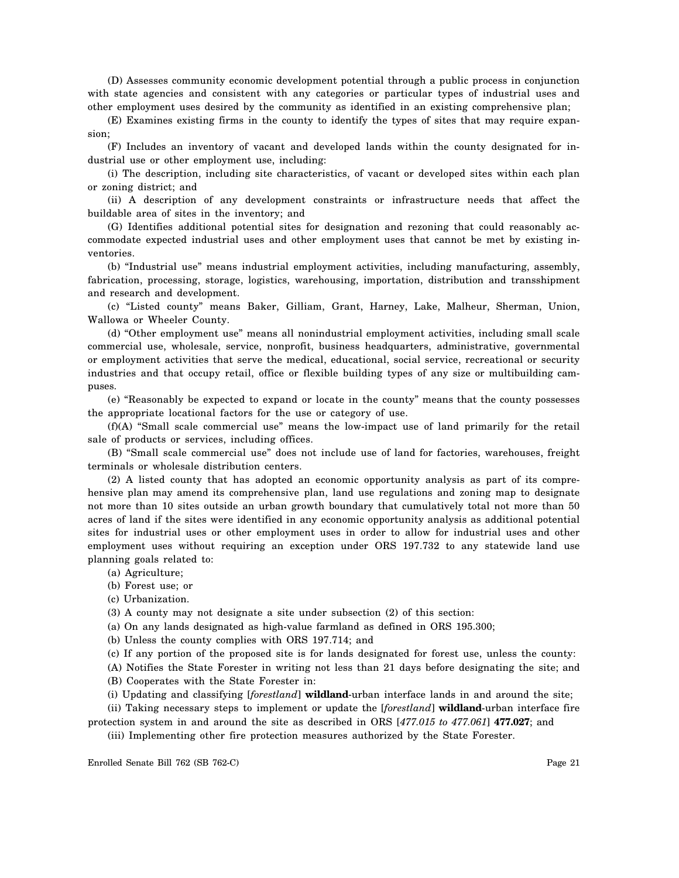(D) Assesses community economic development potential through a public process in conjunction with state agencies and consistent with any categories or particular types of industrial uses and other employment uses desired by the community as identified in an existing comprehensive plan;

(E) Examines existing firms in the county to identify the types of sites that may require expansion;

(F) Includes an inventory of vacant and developed lands within the county designated for industrial use or other employment use, including:

(i) The description, including site characteristics, of vacant or developed sites within each plan or zoning district; and

(ii) A description of any development constraints or infrastructure needs that affect the buildable area of sites in the inventory; and

(G) Identifies additional potential sites for designation and rezoning that could reasonably accommodate expected industrial uses and other employment uses that cannot be met by existing inventories.

(b) "Industrial use" means industrial employment activities, including manufacturing, assembly, fabrication, processing, storage, logistics, warehousing, importation, distribution and transshipment and research and development.

(c) "Listed county" means Baker, Gilliam, Grant, Harney, Lake, Malheur, Sherman, Union, Wallowa or Wheeler County.

(d) "Other employment use" means all nonindustrial employment activities, including small scale commercial use, wholesale, service, nonprofit, business headquarters, administrative, governmental or employment activities that serve the medical, educational, social service, recreational or security industries and that occupy retail, office or flexible building types of any size or multibuilding campuses.

(e) "Reasonably be expected to expand or locate in the county" means that the county possesses the appropriate locational factors for the use or category of use.

(f)(A) "Small scale commercial use" means the low-impact use of land primarily for the retail sale of products or services, including offices.

(B) "Small scale commercial use" does not include use of land for factories, warehouses, freight terminals or wholesale distribution centers.

(2) A listed county that has adopted an economic opportunity analysis as part of its comprehensive plan may amend its comprehensive plan, land use regulations and zoning map to designate not more than 10 sites outside an urban growth boundary that cumulatively total not more than 50 acres of land if the sites were identified in any economic opportunity analysis as additional potential sites for industrial uses or other employment uses in order to allow for industrial uses and other employment uses without requiring an exception under ORS 197.732 to any statewide land use planning goals related to:

(a) Agriculture;

- (b) Forest use; or
- (c) Urbanization.

(3) A county may not designate a site under subsection (2) of this section:

(a) On any lands designated as high-value farmland as defined in ORS 195.300;

(b) Unless the county complies with ORS 197.714; and

(c) If any portion of the proposed site is for lands designated for forest use, unless the county:

(A) Notifies the State Forester in writing not less than 21 days before designating the site; and (B) Cooperates with the State Forester in:

(i) Updating and classifying [*forestland*] **wildland**-urban interface lands in and around the site;

(ii) Taking necessary steps to implement or update the [*forestland*] **wildland**-urban interface fire protection system in and around the site as described in ORS [*477.015 to 477.061*] **477.027**; and

(iii) Implementing other fire protection measures authorized by the State Forester.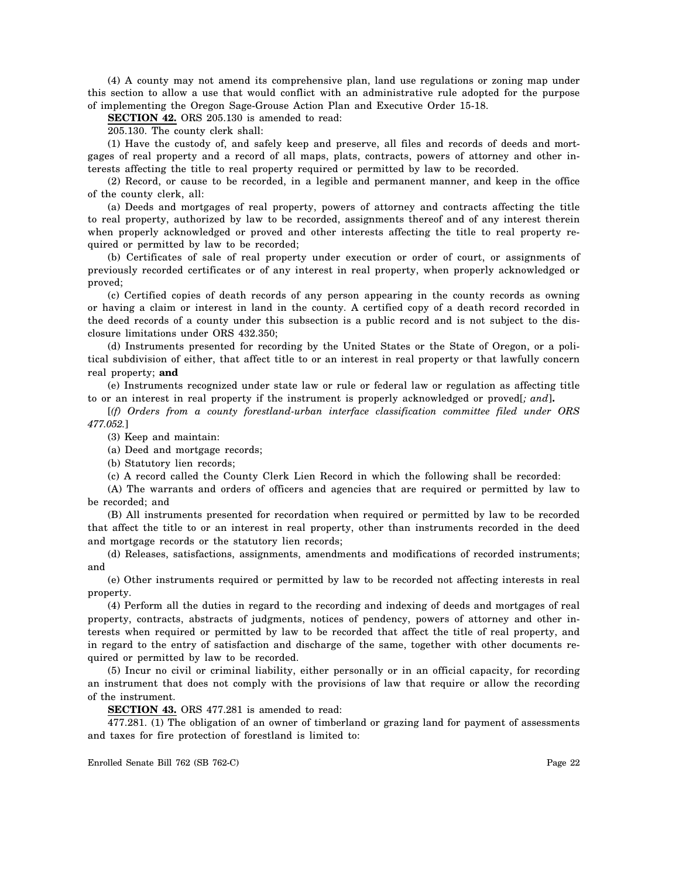(4) A county may not amend its comprehensive plan, land use regulations or zoning map under this section to allow a use that would conflict with an administrative rule adopted for the purpose of implementing the Oregon Sage-Grouse Action Plan and Executive Order 15-18.

**SECTION 42.** ORS 205.130 is amended to read:

205.130. The county clerk shall:

(1) Have the custody of, and safely keep and preserve, all files and records of deeds and mortgages of real property and a record of all maps, plats, contracts, powers of attorney and other interests affecting the title to real property required or permitted by law to be recorded.

(2) Record, or cause to be recorded, in a legible and permanent manner, and keep in the office of the county clerk, all:

(a) Deeds and mortgages of real property, powers of attorney and contracts affecting the title to real property, authorized by law to be recorded, assignments thereof and of any interest therein when properly acknowledged or proved and other interests affecting the title to real property required or permitted by law to be recorded;

(b) Certificates of sale of real property under execution or order of court, or assignments of previously recorded certificates or of any interest in real property, when properly acknowledged or proved;

(c) Certified copies of death records of any person appearing in the county records as owning or having a claim or interest in land in the county. A certified copy of a death record recorded in the deed records of a county under this subsection is a public record and is not subject to the disclosure limitations under ORS 432.350;

(d) Instruments presented for recording by the United States or the State of Oregon, or a political subdivision of either, that affect title to or an interest in real property or that lawfully concern real property; **and**

(e) Instruments recognized under state law or rule or federal law or regulation as affecting title to or an interest in real property if the instrument is properly acknowledged or proved[*; and*]**.**

[*(f) Orders from a county forestland-urban interface classification committee filed under ORS 477.052.*]

(3) Keep and maintain:

(a) Deed and mortgage records;

(b) Statutory lien records;

(c) A record called the County Clerk Lien Record in which the following shall be recorded:

(A) The warrants and orders of officers and agencies that are required or permitted by law to be recorded; and

(B) All instruments presented for recordation when required or permitted by law to be recorded that affect the title to or an interest in real property, other than instruments recorded in the deed and mortgage records or the statutory lien records;

(d) Releases, satisfactions, assignments, amendments and modifications of recorded instruments; and

(e) Other instruments required or permitted by law to be recorded not affecting interests in real property.

(4) Perform all the duties in regard to the recording and indexing of deeds and mortgages of real property, contracts, abstracts of judgments, notices of pendency, powers of attorney and other interests when required or permitted by law to be recorded that affect the title of real property, and in regard to the entry of satisfaction and discharge of the same, together with other documents required or permitted by law to be recorded.

(5) Incur no civil or criminal liability, either personally or in an official capacity, for recording an instrument that does not comply with the provisions of law that require or allow the recording of the instrument.

**SECTION 43.** ORS 477.281 is amended to read:

477.281. (1) The obligation of an owner of timberland or grazing land for payment of assessments and taxes for fire protection of forestland is limited to: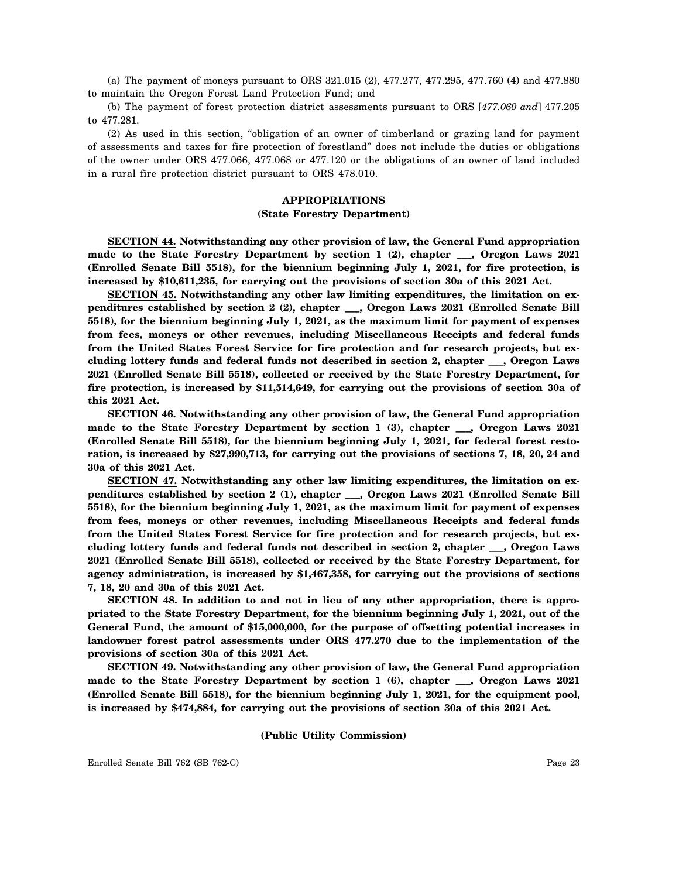(a) The payment of moneys pursuant to ORS 321.015 (2), 477.277, 477.295, 477.760 (4) and 477.880 to maintain the Oregon Forest Land Protection Fund; and

(b) The payment of forest protection district assessments pursuant to ORS [*477.060 and*] 477.205 to 477.281.

(2) As used in this section, "obligation of an owner of timberland or grazing land for payment of assessments and taxes for fire protection of forestland" does not include the duties or obligations of the owner under ORS 477.066, 477.068 or 477.120 or the obligations of an owner of land included in a rural fire protection district pursuant to ORS 478.010.

# **APPROPRIATIONS (State Forestry Department)**

**SECTION 44. Notwithstanding any other provision of law, the General Fund appropriation made to the State Forestry Department by section 1 (2), chapter \_\_\_, Oregon Laws 2021 (Enrolled Senate Bill 5518), for the biennium beginning July 1, 2021, for fire protection, is increased by \$10,611,235, for carrying out the provisions of section 30a of this 2021 Act.**

**SECTION 45. Notwithstanding any other law limiting expenditures, the limitation on expenditures established by section 2 (2), chapter \_\_\_, Oregon Laws 2021 (Enrolled Senate Bill 5518), for the biennium beginning July 1, 2021, as the maximum limit for payment of expenses from fees, moneys or other revenues, including Miscellaneous Receipts and federal funds from the United States Forest Service for fire protection and for research projects, but excluding lottery funds and federal funds not described in section 2, chapter \_\_\_, Oregon Laws 2021 (Enrolled Senate Bill 5518), collected or received by the State Forestry Department, for fire protection, is increased by \$11,514,649, for carrying out the provisions of section 30a of this 2021 Act.**

**SECTION 46. Notwithstanding any other provision of law, the General Fund appropriation made to the State Forestry Department by section 1 (3), chapter \_\_\_, Oregon Laws 2021 (Enrolled Senate Bill 5518), for the biennium beginning July 1, 2021, for federal forest restoration, is increased by \$27,990,713, for carrying out the provisions of sections 7, 18, 20, 24 and 30a of this 2021 Act.**

**SECTION 47. Notwithstanding any other law limiting expenditures, the limitation on expenditures established by section 2 (1), chapter \_\_\_, Oregon Laws 2021 (Enrolled Senate Bill 5518), for the biennium beginning July 1, 2021, as the maximum limit for payment of expenses from fees, moneys or other revenues, including Miscellaneous Receipts and federal funds from the United States Forest Service for fire protection and for research projects, but excluding lottery funds and federal funds not described in section 2, chapter \_\_\_, Oregon Laws 2021 (Enrolled Senate Bill 5518), collected or received by the State Forestry Department, for agency administration, is increased by \$1,467,358, for carrying out the provisions of sections 7, 18, 20 and 30a of this 2021 Act.**

**SECTION 48. In addition to and not in lieu of any other appropriation, there is appropriated to the State Forestry Department, for the biennium beginning July 1, 2021, out of the General Fund, the amount of \$15,000,000, for the purpose of offsetting potential increases in landowner forest patrol assessments under ORS 477.270 due to the implementation of the provisions of section 30a of this 2021 Act.**

**SECTION 49. Notwithstanding any other provision of law, the General Fund appropriation made to the State Forestry Department by section 1 (6), chapter \_\_\_, Oregon Laws 2021 (Enrolled Senate Bill 5518), for the biennium beginning July 1, 2021, for the equipment pool, is increased by \$474,884, for carrying out the provisions of section 30a of this 2021 Act.**

## **(Public Utility Commission)**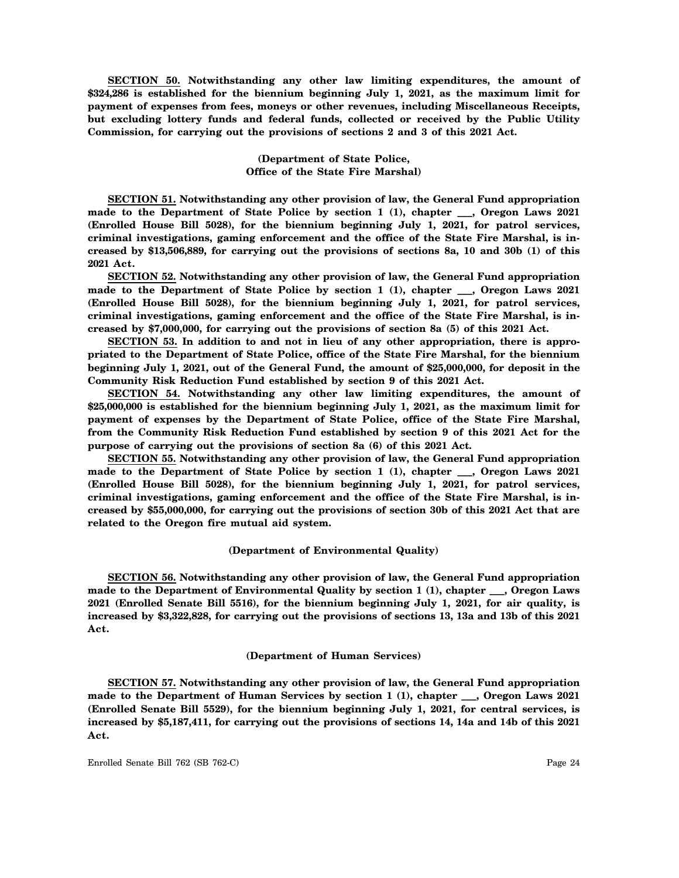**SECTION 50. Notwithstanding any other law limiting expenditures, the amount of \$324,286 is established for the biennium beginning July 1, 2021, as the maximum limit for payment of expenses from fees, moneys or other revenues, including Miscellaneous Receipts, but excluding lottery funds and federal funds, collected or received by the Public Utility Commission, for carrying out the provisions of sections 2 and 3 of this 2021 Act.**

## **(Department of State Police, Office of the State Fire Marshal)**

**SECTION 51. Notwithstanding any other provision of law, the General Fund appropriation made to the Department of State Police by section 1 (1), chapter \_\_\_, Oregon Laws 2021 (Enrolled House Bill 5028), for the biennium beginning July 1, 2021, for patrol services, criminal investigations, gaming enforcement and the office of the State Fire Marshal, is increased by \$13,506,889, for carrying out the provisions of sections 8a, 10 and 30b (1) of this 2021 Act.**

**SECTION 52. Notwithstanding any other provision of law, the General Fund appropriation made to the Department of State Police by section 1 (1), chapter \_\_\_, Oregon Laws 2021 (Enrolled House Bill 5028), for the biennium beginning July 1, 2021, for patrol services, criminal investigations, gaming enforcement and the office of the State Fire Marshal, is increased by \$7,000,000, for carrying out the provisions of section 8a (5) of this 2021 Act.**

**SECTION 53. In addition to and not in lieu of any other appropriation, there is appropriated to the Department of State Police, office of the State Fire Marshal, for the biennium beginning July 1, 2021, out of the General Fund, the amount of \$25,000,000, for deposit in the Community Risk Reduction Fund established by section 9 of this 2021 Act.**

**SECTION 54. Notwithstanding any other law limiting expenditures, the amount of \$25,000,000 is established for the biennium beginning July 1, 2021, as the maximum limit for payment of expenses by the Department of State Police, office of the State Fire Marshal, from the Community Risk Reduction Fund established by section 9 of this 2021 Act for the purpose of carrying out the provisions of section 8a (6) of this 2021 Act.**

**SECTION 55. Notwithstanding any other provision of law, the General Fund appropriation made to the Department of State Police by section 1 (1), chapter \_\_\_, Oregon Laws 2021 (Enrolled House Bill 5028), for the biennium beginning July 1, 2021, for patrol services, criminal investigations, gaming enforcement and the office of the State Fire Marshal, is increased by \$55,000,000, for carrying out the provisions of section 30b of this 2021 Act that are related to the Oregon fire mutual aid system.**

# **(Department of Environmental Quality)**

**SECTION 56. Notwithstanding any other provision of law, the General Fund appropriation made to the Department of Environmental Quality by section 1 (1), chapter \_\_\_, Oregon Laws 2021 (Enrolled Senate Bill 5516), for the biennium beginning July 1, 2021, for air quality, is increased by \$3,322,828, for carrying out the provisions of sections 13, 13a and 13b of this 2021 Act.**

#### **(Department of Human Services)**

**SECTION 57. Notwithstanding any other provision of law, the General Fund appropriation made to the Department of Human Services by section 1 (1), chapter \_\_\_, Oregon Laws 2021 (Enrolled Senate Bill 5529), for the biennium beginning July 1, 2021, for central services, is increased by \$5,187,411, for carrying out the provisions of sections 14, 14a and 14b of this 2021 Act.**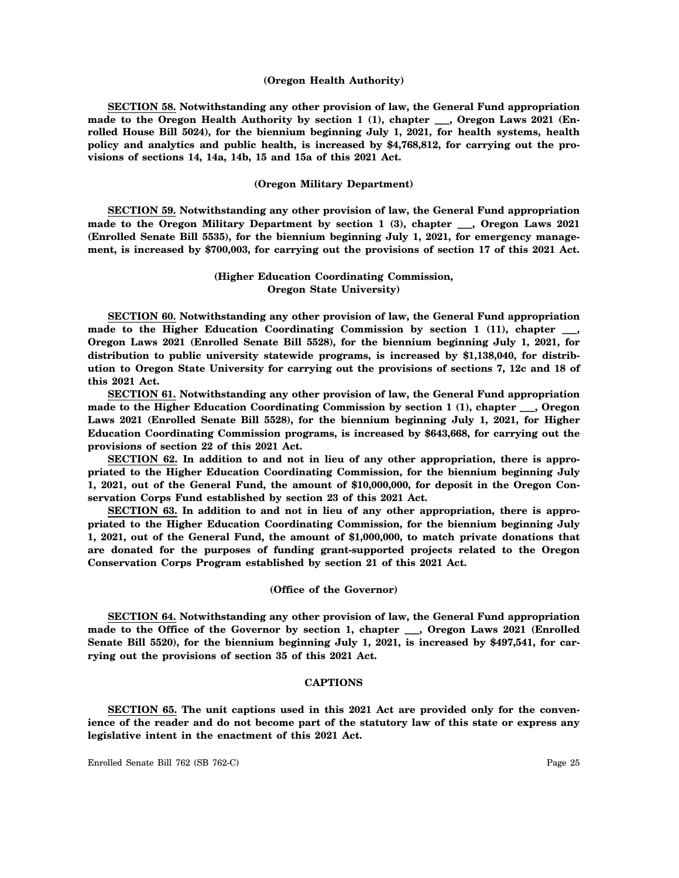#### **(Oregon Health Authority)**

**SECTION 58. Notwithstanding any other provision of law, the General Fund appropriation made to the Oregon Health Authority by section 1 (1), chapter \_\_\_, Oregon Laws 2021 (Enrolled House Bill 5024), for the biennium beginning July 1, 2021, for health systems, health policy and analytics and public health, is increased by \$4,768,812, for carrying out the provisions of sections 14, 14a, 14b, 15 and 15a of this 2021 Act.**

#### **(Oregon Military Department)**

**SECTION 59. Notwithstanding any other provision of law, the General Fund appropriation made to the Oregon Military Department by section 1 (3), chapter \_\_\_, Oregon Laws 2021 (Enrolled Senate Bill 5535), for the biennium beginning July 1, 2021, for emergency management, is increased by \$700,003, for carrying out the provisions of section 17 of this 2021 Act.**

# **(Higher Education Coordinating Commission, Oregon State University)**

**SECTION 60. Notwithstanding any other provision of law, the General Fund appropriation made to the Higher Education Coordinating Commission by section 1 (11), chapter \_\_\_, Oregon Laws 2021 (Enrolled Senate Bill 5528), for the biennium beginning July 1, 2021, for distribution to public university statewide programs, is increased by \$1,138,040, for distribution to Oregon State University for carrying out the provisions of sections 7, 12c and 18 of this 2021 Act.**

**SECTION 61. Notwithstanding any other provision of law, the General Fund appropriation made to the Higher Education Coordinating Commission by section 1 (1), chapter \_\_\_, Oregon Laws 2021 (Enrolled Senate Bill 5528), for the biennium beginning July 1, 2021, for Higher Education Coordinating Commission programs, is increased by \$643,668, for carrying out the provisions of section 22 of this 2021 Act.**

**SECTION 62. In addition to and not in lieu of any other appropriation, there is appropriated to the Higher Education Coordinating Commission, for the biennium beginning July 1, 2021, out of the General Fund, the amount of \$10,000,000, for deposit in the Oregon Conservation Corps Fund established by section 23 of this 2021 Act.**

**SECTION 63. In addition to and not in lieu of any other appropriation, there is appropriated to the Higher Education Coordinating Commission, for the biennium beginning July 1, 2021, out of the General Fund, the amount of \$1,000,000, to match private donations that are donated for the purposes of funding grant-supported projects related to the Oregon Conservation Corps Program established by section 21 of this 2021 Act.**

#### **(Office of the Governor)**

**SECTION 64. Notwithstanding any other provision of law, the General Fund appropriation made to the Office of the Governor by section 1, chapter \_\_\_, Oregon Laws 2021 (Enrolled Senate Bill 5520), for the biennium beginning July 1, 2021, is increased by \$497,541, for carrying out the provisions of section 35 of this 2021 Act.**

# **CAPTIONS**

**SECTION 65. The unit captions used in this 2021 Act are provided only for the convenience of the reader and do not become part of the statutory law of this state or express any legislative intent in the enactment of this 2021 Act.**